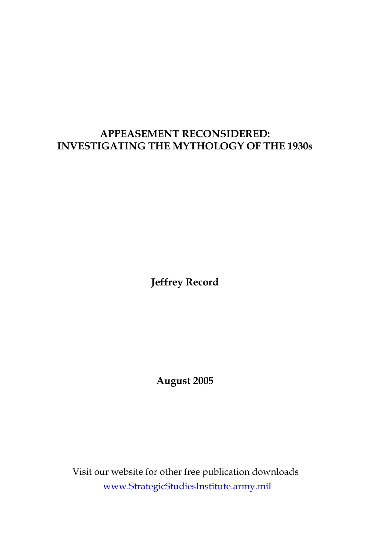# **APPEASEMENT RECONSIDERED: INVESTIGATING THE MYTHOLOGY OF THE 1930s**

**Jeffrey Record**

**August 2005**

Visit our website for other free publication downloads www.[StrategicStudiesInstitute.army.mil](http://www.StrategicStudiesInstitute.army.mil)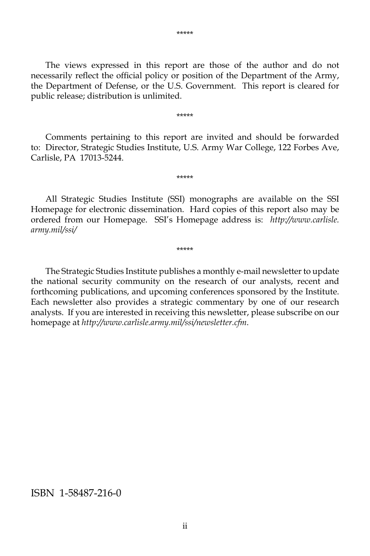The views expressed in this report are those of the author and do not necessarily reflect the official policy or position of the Department of the Army, the Department of Defense, or the U.S. Government. This report is cleared for public release; distribution is unlimited.

\*\*\*\*\*

 Comments pertaining to this report are invited and should be forwarded to: Director, Strategic Studies Institute, U.S. Army War College, 122 Forbes Ave, Carlisle, PA 17013-5244.

\*\*\*\*\*

 All Strategic Studies Institute (SSI) monographs are available on the SSI Homepage for electronic dissemination. Hard copies of this report also may be ordered from our Homepage. SSI's Homepage address is: *[http://www.carlisle.](http://www.carlisle) army.mil/ssi/*

\*\*\*\*\*

 The Strategic Studies Institute publishes a monthly e-mail newsletter to update the national security community on the research of our analysts, recent and forthcoming publications, and upcoming conferences sponsored by the Institute. Each newsletter also provides a strategic commentary by one of our research analysts. If you are interested in receiving this newsletter, please subscribe on our homepage at *<http://www.carlisle.army.mil/ssi/newsletter.cfm>*.

#### ISBN 1-58487-216-0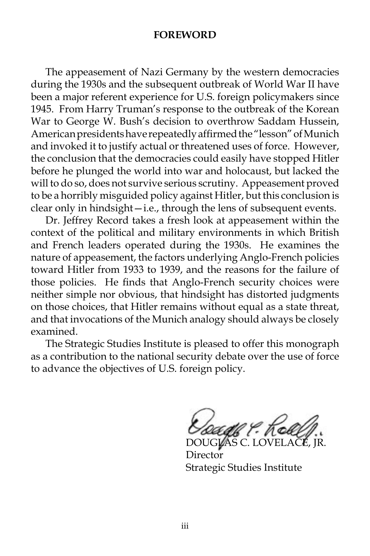#### **FOREWORD**

 The appeasement of Nazi Germany by the western democracies during the 1930s and the subsequent outbreak of World War II have been a major referent experience for U.S. foreign policymakers since 1945. From Harry Truman's response to the outbreak of the Korean War to George W. Bush's decision to overthrow Saddam Hussein, American presidents have repeatedly affirmed the "lesson" of Munich and invoked it to justify actual or threatened uses of force. However, the conclusion that the democracies could easily have stopped Hitler before he plunged the world into war and holocaust, but lacked the will to do so, does not survive serious scrutiny. Appeasement proved to be a horribly misguided policy against Hitler, but this conclusion is clear only in hindsight—i.e., through the lens of subsequent events.

 Dr. Jeffrey Record takes a fresh look at appeasement within the context of the political and military environments in which British and French leaders operated during the 1930s. He examines the nature of appeasement, the factors underlying Anglo-French policies toward Hitler from 1933 to 1939, and the reasons for the failure of those policies. He finds that Anglo-French security choices were neither simple nor obvious, that hindsight has distorted judgments on those choices, that Hitler remains without equal as a state threat, and that invocations of the Munich analogy should always be closely examined.

 The Strategic Studies Institute is pleased to offer this monograph as a contribution to the national security debate over the use of force to advance the objectives of U.S. foreign policy.

 $\nu$ AS C.

Director Strategic Studies Institute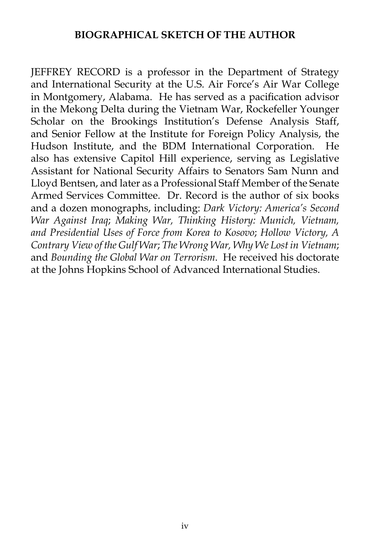### **BIOGRAPHICAL SKETCH OF THE AUTHOR**

JEFFREY RECORD is a professor in the Department of Strategy and International Security at the U.S. Air Force's Air War College in Montgomery, Alabama. He has served as a pacification advisor in the Mekong Delta during the Vietnam War, Rockefeller Younger Scholar on the Brookings Institution's Defense Analysis Staff, and Senior Fellow at the Institute for Foreign Policy Analysis, the Hudson Institute, and the BDM International Corporation. He also has extensive Capitol Hill experience, serving as Legislative Assistant for National Security Affairs to Senators Sam Nunn and Lloyd Bentsen, and later as a Professional Staff Member of the Senate Armed Services Committee. Dr. Record is the author of six books and a dozen monographs, including: *Dark Victory: America's Second War Against Iraq*; *Making War, Thinking History: Munich, Vietnam, and Presidential Uses of Force from Korea to Kosovo*; *Hollow Victory, A Contrary View of the Gulf War*; *The Wrong War, Why We Lost in Vietnam*; and *Bounding the Global War on Terrorism*. He received his doctorate at the Johns Hopkins School of Advanced International Studies.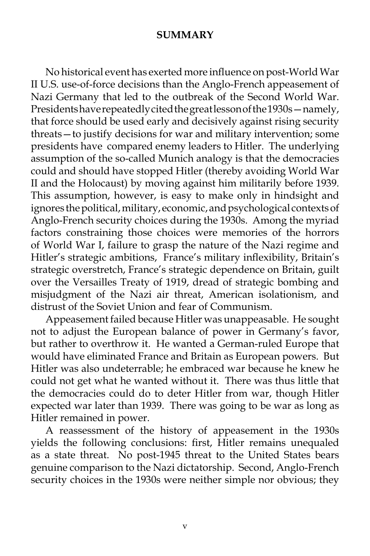#### **SUMMARY**

 No historical event has exerted more influence on post-World War II U.S. use-of-force decisions than the Anglo-French appeasement of Nazi Germany that led to the outbreak of the Second World War. Presidents have repeatedly cited the great lesson of the 1930s—namely, that force should be used early and decisively against rising security threats—to justify decisions for war and military intervention; some presidents have compared enemy leaders to Hitler. The underlying assumption of the so-called Munich analogy is that the democracies could and should have stopped Hitler (thereby avoiding World War II and the Holocaust) by moving against him militarily before 1939. This assumption, however, is easy to make only in hindsight and ignores the political, military, economic, and psychological contexts of Anglo-French security choices during the 1930s. Among the myriad factors constraining those choices were memories of the horrors of World War I, failure to grasp the nature of the Nazi regime and Hitler's strategic ambitions, France's military inflexibility, Britain's strategic overstretch, France's strategic dependence on Britain, guilt over the Versailles Treaty of 1919, dread of strategic bombing and misjudgment of the Nazi air threat, American isolationism, and distrust of the Soviet Union and fear of Communism.

 Appeasement failed because Hitler was unappeasable. He sought not to adjust the European balance of power in Germany's favor, but rather to overthrow it. He wanted a German-ruled Europe that would have eliminated France and Britain as European powers. But Hitler was also undeterrable; he embraced war because he knew he could not get what he wanted without it. There was thus little that the democracies could do to deter Hitler from war, though Hitler expected war later than 1939. There was going to be war as long as Hitler remained in power.

 A reassessment of the history of appeasement in the 1930s yields the following conclusions: first, Hitler remains unequaled as a state threat. No post-1945 threat to the United States bears genuine comparison to the Nazi dictatorship. Second, Anglo-French security choices in the 1930s were neither simple nor obvious; they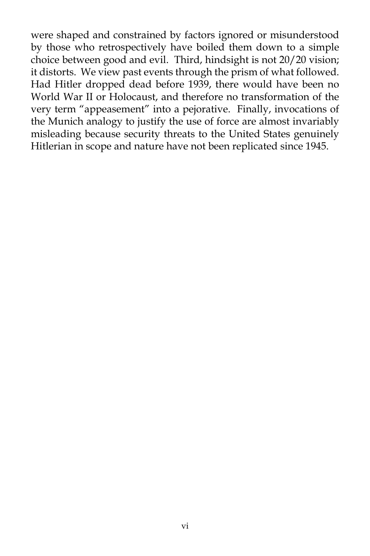were shaped and constrained by factors ignored or misunderstood by those who retrospectively have boiled them down to a simple choice between good and evil. Third, hindsight is not 20/20 vision; it distorts. We view past events through the prism of what followed. Had Hitler dropped dead before 1939, there would have been no World War II or Holocaust, and therefore no transformation of the very term "appeasement" into a pejorative. Finally, invocations of the Munich analogy to justify the use of force are almost invariably misleading because security threats to the United States genuinely Hitlerian in scope and nature have not been replicated since 1945.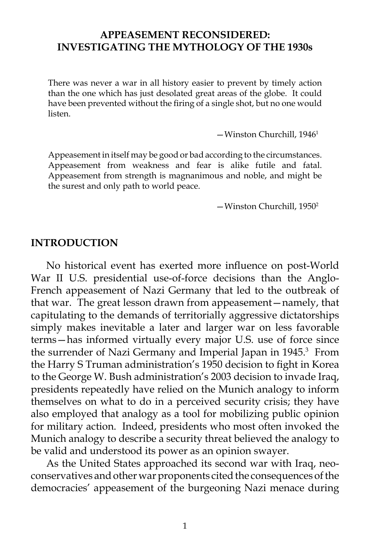### **APPEASEMENT RECONSIDERED: INVESTIGATING THE MYTHOLOGY OF THE 1930s**

There was never a war in all history easier to prevent by timely action than the one which has just desolated great areas of the globe. It could have been prevented without the firing of a single shot, but no one would listen.

—Winston Churchill, 19461

Appeasement in itself may be good or bad according to the circumstances. Appeasement from weakness and fear is alike futile and fatal. Appeasement from strength is magnanimous and noble, and might be the surest and only path to world peace.

—Winston Churchill, 19502

#### **INTRODUCTION**

 No historical event has exerted more influence on post-World War II U.S. presidential use-of-force decisions than the Anglo-French appeasement of Nazi Germany that led to the outbreak of that war. The great lesson drawn from appeasement—namely, that capitulating to the demands of territorially aggressive dictatorships simply makes inevitable a later and larger war on less favorable terms—has informed virtually every major U.S. use of force since the surrender of Nazi Germany and Imperial Japan in 1945.<sup>3</sup> From the Harry S Truman administration's 1950 decision to fight in Korea to the George W. Bush administration's 2003 decision to invade Iraq, presidents repeatedly have relied on the Munich analogy to inform themselves on what to do in a perceived security crisis; they have also employed that analogy as a tool for mobilizing public opinion for military action. Indeed, presidents who most often invoked the Munich analogy to describe a security threat believed the analogy to be valid and understood its power as an opinion swayer.

 As the United States approached its second war with Iraq, neoconservatives and other war proponents cited the consequences of the democracies' appeasement of the burgeoning Nazi menace during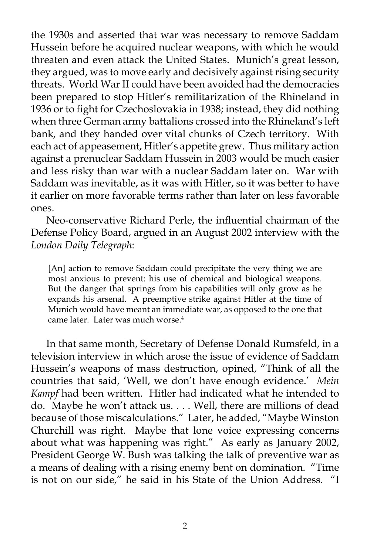the 1930s and asserted that war was necessary to remove Saddam Hussein before he acquired nuclear weapons, with which he would threaten and even attack the United States. Munich's great lesson, they argued, was to move early and decisively against rising security threats. World War II could have been avoided had the democracies been prepared to stop Hitler's remilitarization of the Rhineland in 1936 or to fight for Czechoslovakia in 1938; instead, they did nothing when three German army battalions crossed into the Rhineland's left bank, and they handed over vital chunks of Czech territory. With each act of appeasement, Hitler's appetite grew. Thus military action against a prenuclear Saddam Hussein in 2003 would be much easier and less risky than war with a nuclear Saddam later on. War with Saddam was inevitable, as it was with Hitler, so it was better to have it earlier on more favorable terms rather than later on less favorable ones.

 Neo-conservative Richard Perle, the influential chairman of the Defense Policy Board, argued in an August 2002 interview with the *London Daily Telegraph*:

[An] action to remove Saddam could precipitate the very thing we are most anxious to prevent: his use of chemical and biological weapons. But the danger that springs from his capabilities will only grow as he expands his arsenal. A preemptive strike against Hitler at the time of Munich would have meant an immediate war, as opposed to the one that came later. Later was much worse.4

 In that same month, Secretary of Defense Donald Rumsfeld, in a television interview in which arose the issue of evidence of Saddam Hussein's weapons of mass destruction, opined, "Think of all the countries that said, 'Well, we don't have enough evidence.' *Mein Kampf* had been written. Hitler had indicated what he intended to do. Maybe he won't attack us. . . . Well, there are millions of dead because of those miscalculations." Later, he added, "Maybe Winston Churchill was right. Maybe that lone voice expressing concerns about what was happening was right." As early as January 2002, President George W. Bush was talking the talk of preventive war as a means of dealing with a rising enemy bent on domination. "Time is not on our side," he said in his State of the Union Address. "I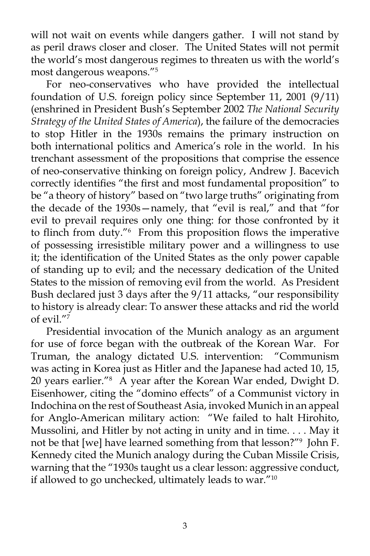will not wait on events while dangers gather. I will not stand by as peril draws closer and closer. The United States will not permit the world's most dangerous regimes to threaten us with the world's most dangerous weapons."5

 For neo-conservatives who have provided the intellectual foundation of U.S. foreign policy since September 11, 2001 (9/11) (enshrined in President Bush's September 2002 *The National Security Strategy of the United States of America*), the failure of the democracies to stop Hitler in the 1930s remains the primary instruction on both international politics and America's role in the world. In his trenchant assessment of the propositions that comprise the essence of neo-conservative thinking on foreign policy, Andrew J. Bacevich correctly identifies "the first and most fundamental proposition" to be "a theory of history" based on "two large truths" originating from the decade of the 1930s—namely, that "evil is real," and that "for evil to prevail requires only one thing: for those confronted by it to flinch from duty."6 From this proposition flows the imperative of possessing irresistible military power and a willingness to use it; the identification of the United States as the only power capable of standing up to evil; and the necessary dedication of the United States to the mission of removing evil from the world. As President Bush declared just 3 days after the 9/11 attacks, "our responsibility to history is already clear: To answer these attacks and rid the world of evil. $\overline{r}$ 

 Presidential invocation of the Munich analogy as an argument for use of force began with the outbreak of the Korean War. For Truman, the analogy dictated U.S. intervention: "Communism was acting in Korea just as Hitler and the Japanese had acted 10, 15, 20 years earlier."8 A year after the Korean War ended, Dwight D. Eisenhower, citing the "domino effects" of a Communist victory in Indochina on the rest of Southeast Asia, invoked Munich in an appeal for Anglo-American military action: "We failed to halt Hirohito, Mussolini, and Hitler by not acting in unity and in time. . . . May it not be that [we] have learned something from that lesson?"9 John F. Kennedy cited the Munich analogy during the Cuban Missile Crisis, warning that the "1930s taught us a clear lesson: aggressive conduct, if allowed to go unchecked, ultimately leads to war." $10$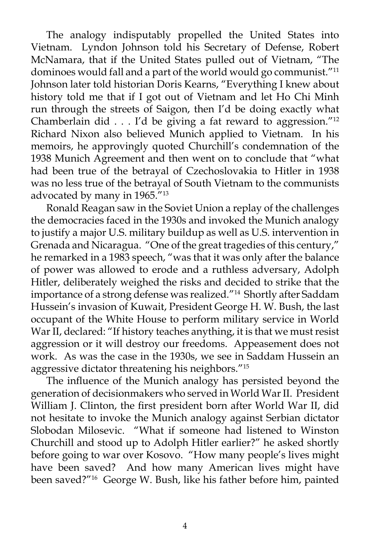The analogy indisputably propelled the United States into Vietnam. Lyndon Johnson told his Secretary of Defense, Robert McNamara, that if the United States pulled out of Vietnam, "The dominoes would fall and a part of the world would go communist."<sup>11</sup> Johnson later told historian Doris Kearns, "Everything I knew about history told me that if I got out of Vietnam and let Ho Chi Minh run through the streets of Saigon, then I'd be doing exactly what Chamberlain did . . . I'd be giving a fat reward to aggression."12 Richard Nixon also believed Munich applied to Vietnam. In his memoirs, he approvingly quoted Churchill's condemnation of the 1938 Munich Agreement and then went on to conclude that "what had been true of the betrayal of Czechoslovakia to Hitler in 1938 was no less true of the betrayal of South Vietnam to the communists advocated by many in 1965."13

 Ronald Reagan saw in the Soviet Union a replay of the challenges the democracies faced in the 1930s and invoked the Munich analogy to justify a major U.S. military buildup as well as U.S. intervention in Grenada and Nicaragua. "One of the great tragedies of this century," he remarked in a 1983 speech, "was that it was only after the balance of power was allowed to erode and a ruthless adversary, Adolph Hitler, deliberately weighed the risks and decided to strike that the importance of a strong defense was realized."<sup>14</sup> Shortly after Saddam Hussein's invasion of Kuwait, President George H. W. Bush, the last occupant of the White House to perform military service in World War II, declared: "If history teaches anything, it is that we must resist aggression or it will destroy our freedoms. Appeasement does not work. As was the case in the 1930s, we see in Saddam Hussein an aggressive dictator threatening his neighbors."15

 The influence of the Munich analogy has persisted beyond the generation of decisionmakers who served in World War II. President William J. Clinton, the first president born after World War II, did not hesitate to invoke the Munich analogy against Serbian dictator Slobodan Milosevic. "What if someone had listened to Winston Churchill and stood up to Adolph Hitler earlier?" he asked shortly before going to war over Kosovo. "How many people's lives might have been saved? And how many American lives might have been saved?"16 George W. Bush, like his father before him, painted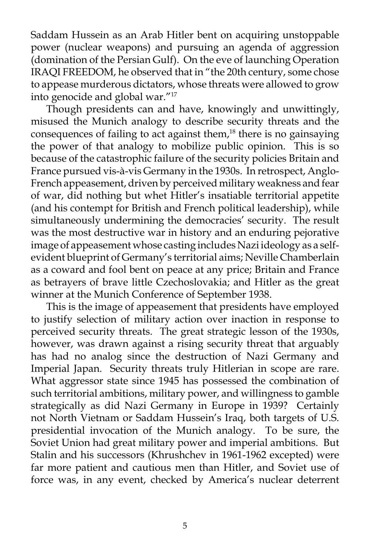Saddam Hussein as an Arab Hitler bent on acquiring unstoppable power (nuclear weapons) and pursuing an agenda of aggression (domination of the Persian Gulf). On the eve of launching Operation IRAQI FREEDOM, he observed that in "the 20th century, some chose to appease murderous dictators, whose threats were allowed to grow into genocide and global war."17

 Though presidents can and have, knowingly and unwittingly, misused the Munich analogy to describe security threats and the consequences of failing to act against them,<sup>18</sup> there is no gainsaying the power of that analogy to mobilize public opinion. This is so because of the catastrophic failure of the security policies Britain and France pursued vis-à-vis Germany in the 1930s. In retrospect, Anglo-French appeasement, driven by perceived military weakness and fear of war, did nothing but whet Hitler's insatiable territorial appetite (and his contempt for British and French political leadership), while simultaneously undermining the democracies' security. The result was the most destructive war in history and an enduring pejorative image of appeasement whose casting includes Nazi ideology as a selfevident blueprint of Germany's territorial aims; Neville Chamberlain as a coward and fool bent on peace at any price; Britain and France as betrayers of brave little Czechoslovakia; and Hitler as the great winner at the Munich Conference of September 1938.

 This is the image of appeasement that presidents have employed to justify selection of military action over inaction in response to perceived security threats. The great strategic lesson of the 1930s, however, was drawn against a rising security threat that arguably has had no analog since the destruction of Nazi Germany and Imperial Japan. Security threats truly Hitlerian in scope are rare. What aggressor state since 1945 has possessed the combination of such territorial ambitions, military power, and willingness to gamble strategically as did Nazi Germany in Europe in 1939? Certainly not North Vietnam or Saddam Hussein's Iraq, both targets of U.S. presidential invocation of the Munich analogy. To be sure, the Soviet Union had great military power and imperial ambitions. But Stalin and his successors (Khrushchev in 1961-1962 excepted) were far more patient and cautious men than Hitler, and Soviet use of force was, in any event, checked by America's nuclear deterrent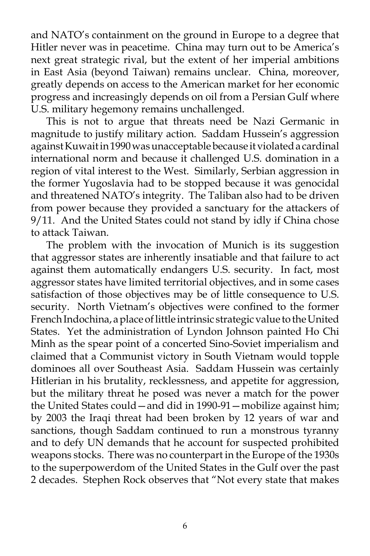and NATO's containment on the ground in Europe to a degree that Hitler never was in peacetime. China may turn out to be America's next great strategic rival, but the extent of her imperial ambitions in East Asia (beyond Taiwan) remains unclear. China, moreover, greatly depends on access to the American market for her economic progress and increasingly depends on oil from a Persian Gulf where U.S. military hegemony remains unchallenged.

 This is not to argue that threats need be Nazi Germanic in magnitude to justify military action. Saddam Hussein's aggression against Kuwait in 1990 was unacceptable because it violated a cardinal international norm and because it challenged U.S. domination in a region of vital interest to the West. Similarly, Serbian aggression in the former Yugoslavia had to be stopped because it was genocidal and threatened NATO's integrity. The Taliban also had to be driven from power because they provided a sanctuary for the attackers of 9/11. And the United States could not stand by idly if China chose to attack Taiwan.

 The problem with the invocation of Munich is its suggestion that aggressor states are inherently insatiable and that failure to act against them automatically endangers U.S. security. In fact, most aggressor states have limited territorial objectives, and in some cases satisfaction of those objectives may be of little consequence to U.S. security. North Vietnam's objectives were confined to the former French Indochina, a place of little intrinsic strategic value to the United States. Yet the administration of Lyndon Johnson painted Ho Chi Minh as the spear point of a concerted Sino-Soviet imperialism and claimed that a Communist victory in South Vietnam would topple dominoes all over Southeast Asia. Saddam Hussein was certainly Hitlerian in his brutality, recklessness, and appetite for aggression, but the military threat he posed was never a match for the power the United States could—and did in 1990-91—mobilize against him; by 2003 the Iraqi threat had been broken by 12 years of war and sanctions, though Saddam continued to run a monstrous tyranny and to defy UN demands that he account for suspected prohibited weapons stocks. There was no counterpart in the Europe of the 1930s to the superpowerdom of the United States in the Gulf over the past 2 decades. Stephen Rock observes that "Not every state that makes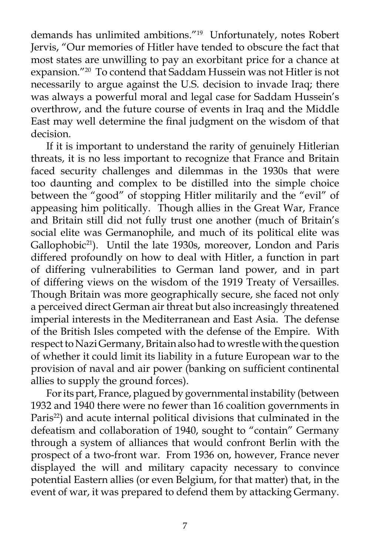demands has unlimited ambitions."19 Unfortunately, notes Robert Jervis, "Our memories of Hitler have tended to obscure the fact that most states are unwilling to pay an exorbitant price for a chance at expansion."20 To contend that Saddam Hussein was not Hitler is not necessarily to argue against the U.S. decision to invade Iraq; there was always a powerful moral and legal case for Saddam Hussein's overthrow, and the future course of events in Iraq and the Middle East may well determine the final judgment on the wisdom of that decision.

 If it is important to understand the rarity of genuinely Hitlerian threats, it is no less important to recognize that France and Britain faced security challenges and dilemmas in the 1930s that were too daunting and complex to be distilled into the simple choice between the "good" of stopping Hitler militarily and the "evil" of appeasing him politically. Though allies in the Great War, France and Britain still did not fully trust one another (much of Britain's social elite was Germanophile, and much of its political elite was Gallophobic<sup>21</sup>). Until the late 1930s, moreover, London and Paris differed profoundly on how to deal with Hitler, a function in part of differing vulnerabilities to German land power, and in part of differing views on the wisdom of the 1919 Treaty of Versailles. Though Britain was more geographically secure, she faced not only a perceived direct German air threat but also increasingly threatened imperial interests in the Mediterranean and East Asia. The defense of the British Isles competed with the defense of the Empire. With respect to Nazi Germany, Britain also had to wrestle with the question of whether it could limit its liability in a future European war to the provision of naval and air power (banking on sufficient continental allies to supply the ground forces).

 For its part, France, plagued by governmental instability (between 1932 and 1940 there were no fewer than 16 coalition governments in Paris<sup>22</sup>) and acute internal political divisions that culminated in the defeatism and collaboration of 1940, sought to "contain" Germany through a system of alliances that would confront Berlin with the prospect of a two-front war. From 1936 on, however, France never displayed the will and military capacity necessary to convince potential Eastern allies (or even Belgium, for that matter) that, in the event of war, it was prepared to defend them by attacking Germany.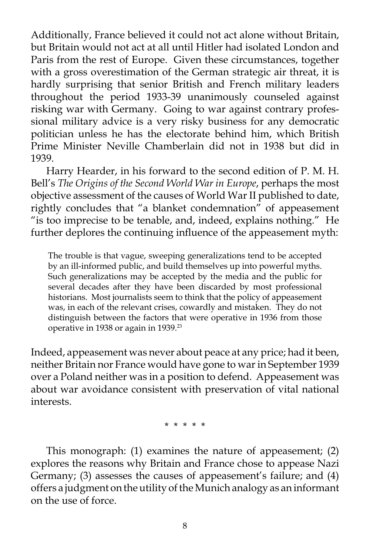Additionally, France believed it could not act alone without Britain, but Britain would not act at all until Hitler had isolated London and Paris from the rest of Europe. Given these circumstances, together with a gross overestimation of the German strategic air threat, it is hardly surprising that senior British and French military leaders throughout the period 1933-39 unanimously counseled against risking war with Germany. Going to war against contrary professional military advice is a very risky business for any democratic politician unless he has the electorate behind him, which British Prime Minister Neville Chamberlain did not in 1938 but did in 1939.

 Harry Hearder, in his forward to the second edition of P. M. H. Bell's *The Origins of the Second World War in Europe*, perhaps the most objective assessment of the causes of World War II published to date, rightly concludes that "a blanket condemnation" of appeasement "is too imprecise to be tenable, and, indeed, explains nothing." He further deplores the continuing influence of the appeasement myth:

The trouble is that vague, sweeping generalizations tend to be accepted by an ill-informed public, and build themselves up into powerful myths. Such generalizations may be accepted by the media and the public for several decades after they have been discarded by most professional historians. Most journalists seem to think that the policy of appeasement was, in each of the relevant crises, cowardly and mistaken. They do not distinguish between the factors that were operative in 1936 from those operative in 1938 or again in 1939.23

Indeed, appeasement was never about peace at any price; had it been, neither Britain nor France would have gone to war in September 1939 over a Poland neither was in a position to defend. Appeasement was about war avoidance consistent with preservation of vital national interests.

\* \* \* \* \*

 This monograph: (1) examines the nature of appeasement; (2) explores the reasons why Britain and France chose to appease Nazi Germany; (3) assesses the causes of appeasement's failure; and (4) offers a judgment on the utility of the Munich analogy as an informant on the use of force.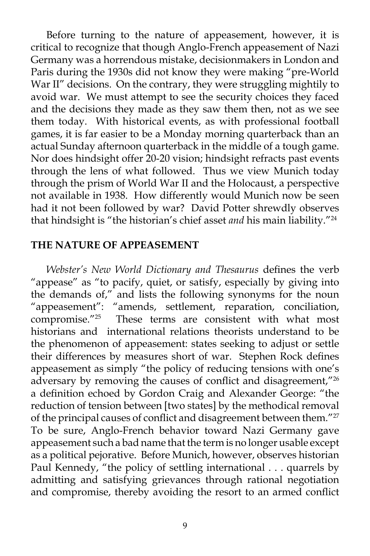Before turning to the nature of appeasement, however, it is critical to recognize that though Anglo-French appeasement of Nazi Germany was a horrendous mistake, decisionmakers in London and Paris during the 1930s did not know they were making "pre-World War II" decisions. On the contrary, they were struggling mightily to avoid war. We must attempt to see the security choices they faced and the decisions they made as they saw them then, not as we see them today. With historical events, as with professional football games, it is far easier to be a Monday morning quarterback than an actual Sunday afternoon quarterback in the middle of a tough game. Nor does hindsight offer 20-20 vision; hindsight refracts past events through the lens of what followed. Thus we view Munich today through the prism of World War II and the Holocaust, a perspective not available in 1938. How differently would Munich now be seen had it not been followed by war? David Potter shrewdly observes that hindsight is "the historian's chief asset *and* his main liability."24

#### **THE NATURE OF APPEASEMENT**

*Webster's New World Dictionary and Thesaurus* defines the verb "appease" as "to pacify, quiet, or satisfy, especially by giving into the demands of," and lists the following synonyms for the noun "appeasement": "amends, settlement, reparation, conciliation, compromise."25 These terms are consistent with what most historians and international relations theorists understand to be the phenomenon of appeasement: states seeking to adjust or settle their differences by measures short of war. Stephen Rock defines appeasement as simply "the policy of reducing tensions with one's adversary by removing the causes of conflict and disagreement,"26 a definition echoed by Gordon Craig and Alexander George: "the reduction of tension between [two states] by the methodical removal of the principal causes of conflict and disagreement between them."<sup>27</sup> To be sure, Anglo-French behavior toward Nazi Germany gave appeasement such a bad name that the term is no longer usable except as a political pejorative. Before Munich, however, observes historian Paul Kennedy, "the policy of settling international . . . quarrels by admitting and satisfying grievances through rational negotiation and compromise, thereby avoiding the resort to an armed conflict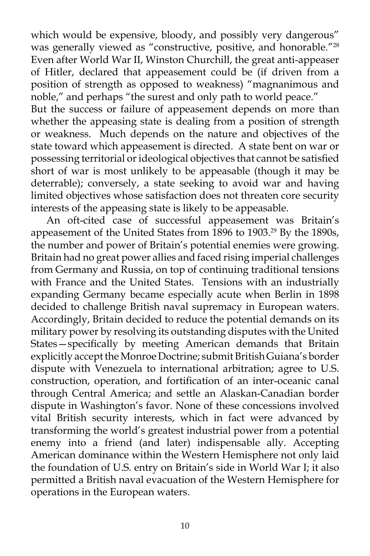which would be expensive, bloody, and possibly very dangerous" was generally viewed as "constructive, positive, and honorable."<sup>28</sup> Even after World War II, Winston Churchill, the great anti-appeaser of Hitler, declared that appeasement could be (if driven from a position of strength as opposed to weakness) "magnanimous and noble," and perhaps "the surest and only path to world peace."

But the success or failure of appeasement depends on more than whether the appeasing state is dealing from a position of strength or weakness. Much depends on the nature and objectives of the state toward which appeasement is directed. A state bent on war or possessing territorial or ideological objectives that cannot be satisfied short of war is most unlikely to be appeasable (though it may be deterrable); conversely, a state seeking to avoid war and having limited objectives whose satisfaction does not threaten core security interests of the appeasing state is likely to be appeasable.

 An oft-cited case of successful appeasement was Britain's appeasement of the United States from 1896 to 1903.<sup>29</sup> By the 1890s, the number and power of Britain's potential enemies were growing. Britain had no great power allies and faced rising imperial challenges from Germany and Russia, on top of continuing traditional tensions with France and the United States. Tensions with an industrially expanding Germany became especially acute when Berlin in 1898 decided to challenge British naval supremacy in European waters. Accordingly, Britain decided to reduce the potential demands on its military power by resolving its outstanding disputes with the United States—specifically by meeting American demands that Britain explicitly accept the Monroe Doctrine; submit British Guiana's border dispute with Venezuela to international arbitration; agree to U.S. construction, operation, and fortification of an inter-oceanic canal through Central America; and settle an Alaskan-Canadian border dispute in Washington's favor. None of these concessions involved vital British security interests, which in fact were advanced by transforming the world's greatest industrial power from a potential enemy into a friend (and later) indispensable ally. Accepting American dominance within the Western Hemisphere not only laid the foundation of U.S. entry on Britain's side in World War I; it also permitted a British naval evacuation of the Western Hemisphere for operations in the European waters.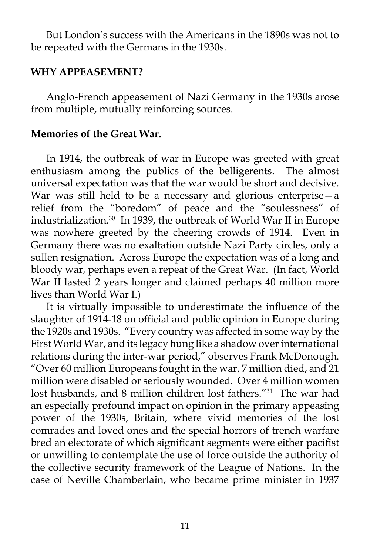But London's success with the Americans in the 1890s was not to be repeated with the Germans in the 1930s.

#### **WHY APPEASEMENT?**

 Anglo-French appeasement of Nazi Germany in the 1930s arose from multiple, mutually reinforcing sources.

### **Memories of the Great War.**

 In 1914, the outbreak of war in Europe was greeted with great enthusiasm among the publics of the belligerents. The almost universal expectation was that the war would be short and decisive. War was still held to be a necessary and glorious enterprise—a relief from the "boredom" of peace and the "soulessness" of industrialization.30 In 1939, the outbreak of World War II in Europe was nowhere greeted by the cheering crowds of 1914. Even in Germany there was no exaltation outside Nazi Party circles, only a sullen resignation. Across Europe the expectation was of a long and bloody war, perhaps even a repeat of the Great War. (In fact, World War II lasted 2 years longer and claimed perhaps 40 million more lives than World War I.)

 It is virtually impossible to underestimate the influence of the slaughter of 1914-18 on official and public opinion in Europe during the 1920s and 1930s. "Every country was affected in some way by the First World War, and its legacy hung like a shadow over international relations during the inter-war period," observes Frank McDonough. "Over 60 million Europeans fought in the war, 7 million died, and 21 million were disabled or seriously wounded. Over 4 million women lost husbands, and 8 million children lost fathers.<sup>"31</sup> The war had an especially profound impact on opinion in the primary appeasing power of the 1930s, Britain, where vivid memories of the lost comrades and loved ones and the special horrors of trench warfare bred an electorate of which significant segments were either pacifist or unwilling to contemplate the use of force outside the authority of the collective security framework of the League of Nations. In the case of Neville Chamberlain, who became prime minister in 1937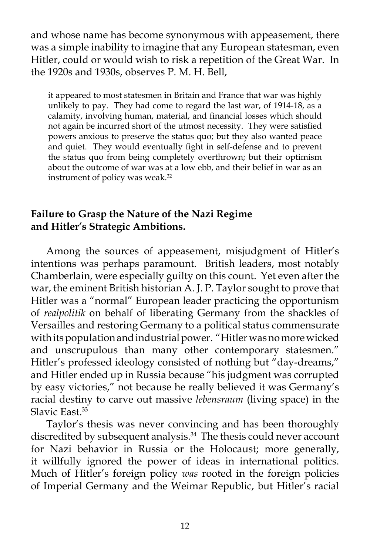and whose name has become synonymous with appeasement, there was a simple inability to imagine that any European statesman, even Hitler, could or would wish to risk a repetition of the Great War. In the 1920s and 1930s, observes P. M. H. Bell,

it appeared to most statesmen in Britain and France that war was highly unlikely to pay. They had come to regard the last war, of 1914-18, as a calamity, involving human, material, and financial losses which should not again be incurred short of the utmost necessity. They were satisfied powers anxious to preserve the status quo; but they also wanted peace and quiet. They would eventually fight in self-defense and to prevent the status quo from being completely overthrown; but their optimism about the outcome of war was at a low ebb, and their belief in war as an instrument of policy was weak.<sup>32</sup>

# **Failure to Grasp the Nature of the Nazi Regime and Hitler's Strategic Ambitions.**

 Among the sources of appeasement, misjudgment of Hitler's intentions was perhaps paramount. British leaders, most notably Chamberlain, were especially guilty on this count. Yet even after the war, the eminent British historian A. J. P. Taylor sought to prove that Hitler was a "normal" European leader practicing the opportunism of *realpolitik* on behalf of liberating Germany from the shackles of Versailles and restoring Germany to a political status commensurate with its population and industrial power. "Hitler was no more wicked and unscrupulous than many other contemporary statesmen." Hitler's professed ideology consisted of nothing but "day-dreams," and Hitler ended up in Russia because "his judgment was corrupted by easy victories," not because he really believed it was Germany's racial destiny to carve out massive *lebensraum* (living space) in the Slavic East.<sup>33</sup>

 Taylor's thesis was never convincing and has been thoroughly discredited by subsequent analysis.<sup>34</sup> The thesis could never account for Nazi behavior in Russia or the Holocaust; more generally, it willfully ignored the power of ideas in international politics. Much of Hitler's foreign policy *was* rooted in the foreign policies of Imperial Germany and the Weimar Republic, but Hitler's racial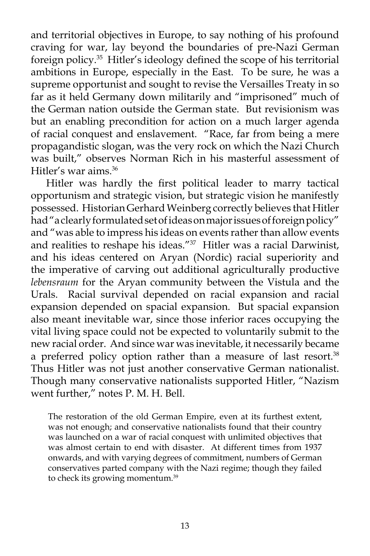and territorial objectives in Europe, to say nothing of his profound craving for war, lay beyond the boundaries of pre-Nazi German foreign policy.35 Hitler's ideology defined the scope of his territorial ambitions in Europe, especially in the East. To be sure, he was a supreme opportunist and sought to revise the Versailles Treaty in so far as it held Germany down militarily and "imprisoned" much of the German nation outside the German state. But revisionism was but an enabling precondition for action on a much larger agenda of racial conquest and enslavement. "Race, far from being a mere propagandistic slogan, was the very rock on which the Nazi Church was built," observes Norman Rich in his masterful assessment of Hitler's war aims.36

 Hitler was hardly the first political leader to marry tactical opportunism and strategic vision, but strategic vision he manifestly possessed. Historian Gerhard Weinberg correctly believes that Hitler had "a clearly formulated set of ideas on major issues of foreign policy" and "was able to impress his ideas on events rather than allow events and realities to reshape his ideas."<sup>37</sup> Hitler was a racial Darwinist, and his ideas centered on Aryan (Nordic) racial superiority and the imperative of carving out additional agriculturally productive *lebensraum* for the Aryan community between the Vistula and the Urals. Racial survival depended on racial expansion and racial expansion depended on spacial expansion. But spacial expansion also meant inevitable war, since those inferior races occupying the vital living space could not be expected to voluntarily submit to the new racial order. And since war was inevitable, it necessarily became a preferred policy option rather than a measure of last resort.<sup>38</sup> Thus Hitler was not just another conservative German nationalist. Though many conservative nationalists supported Hitler, "Nazism went further," notes P. M. H. Bell.

The restoration of the old German Empire, even at its furthest extent, was not enough; and conservative nationalists found that their country was launched on a war of racial conquest with unlimited objectives that was almost certain to end with disaster. At different times from 1937 onwards, and with varying degrees of commitment, numbers of German conservatives parted company with the Nazi regime; though they failed to check its growing momentum.39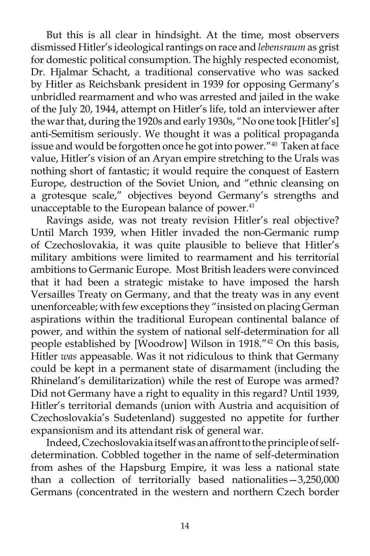But this is all clear in hindsight. At the time, most observers dismissed Hitler's ideological rantings on race and *lebensraum* as grist for domestic political consumption. The highly respected economist, Dr. Hjalmar Schacht, a traditional conservative who was sacked by Hitler as Reichsbank president in 1939 for opposing Germany's unbridled rearmament and who was arrested and jailed in the wake of the July 20, 1944, attempt on Hitler's life, told an interviewer after the war that, during the 1920s and early 1930s, "No one took [Hitler's] anti-Semitism seriously. We thought it was a political propaganda issue and would be forgotten once he got into power."40 Taken at face value, Hitler's vision of an Aryan empire stretching to the Urals was nothing short of fantastic; it would require the conquest of Eastern Europe, destruction of the Soviet Union, and "ethnic cleansing on a grotesque scale," objectives beyond Germany's strengths and unacceptable to the European balance of power.<sup>41</sup>

 Ravings aside, was not treaty revision Hitler's real objective? Until March 1939, when Hitler invaded the non-Germanic rump of Czechoslovakia, it was quite plausible to believe that Hitler's military ambitions were limited to rearmament and his territorial ambitions to Germanic Europe. Most British leaders were convinced that it had been a strategic mistake to have imposed the harsh Versailles Treaty on Germany, and that the treaty was in any event unenforceable; with few exceptions they "insisted on placing German aspirations within the traditional European continental balance of power, and within the system of national self-determination for all people established by [Woodrow] Wilson in 1918."42 On this basis, Hitler *was* appeasable. Was it not ridiculous to think that Germany could be kept in a permanent state of disarmament (including the Rhineland's demilitarization) while the rest of Europe was armed? Did not Germany have a right to equality in this regard? Until 1939, Hitler's territorial demands (union with Austria and acquisition of Czechoslovakia's Sudetenland) suggested no appetite for further expansionism and its attendant risk of general war.

 Indeed, Czechoslovakia itself was an affront to the principle of selfdetermination. Cobbled together in the name of self-determination from ashes of the Hapsburg Empire, it was less a national state than a collection of territorially based nationalities—3,250,000 Germans (concentrated in the western and northern Czech border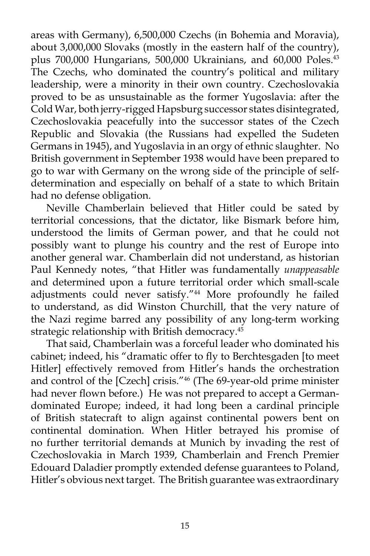areas with Germany), 6,500,000 Czechs (in Bohemia and Moravia), about 3,000,000 Slovaks (mostly in the eastern half of the country), plus 700,000 Hungarians, 500,000 Ukrainians, and 60,000 Poles.<sup>43</sup> The Czechs, who dominated the country's political and military leadership, were a minority in their own country. Czechoslovakia proved to be as unsustainable as the former Yugoslavia: after the Cold War, both jerry-rigged Hapsburg successor states disintegrated, Czechoslovakia peacefully into the successor states of the Czech Republic and Slovakia (the Russians had expelled the Sudeten Germans in 1945), and Yugoslavia in an orgy of ethnic slaughter. No British government in September 1938 would have been prepared to go to war with Germany on the wrong side of the principle of selfdetermination and especially on behalf of a state to which Britain had no defense obligation.

 Neville Chamberlain believed that Hitler could be sated by territorial concessions, that the dictator, like Bismark before him, understood the limits of German power, and that he could not possibly want to plunge his country and the rest of Europe into another general war. Chamberlain did not understand, as historian Paul Kennedy notes, "that Hitler was fundamentally *unappeasable*  and determined upon a future territorial order which small-scale adjustments could never satisfy."<sup>44</sup> More profoundly he failed to understand, as did Winston Churchill, that the very nature of the Nazi regime barred any possibility of any long-term working strategic relationship with British democracy.<sup>45</sup>

 That said, Chamberlain was a forceful leader who dominated his cabinet; indeed, his "dramatic offer to fly to Berchtesgaden [to meet Hitler] effectively removed from Hitler's hands the orchestration and control of the [Czech] crisis."46 (The 69-year-old prime minister had never flown before.) He was not prepared to accept a Germandominated Europe; indeed, it had long been a cardinal principle of British statecraft to align against continental powers bent on continental domination. When Hitler betrayed his promise of no further territorial demands at Munich by invading the rest of Czechoslovakia in March 1939, Chamberlain and French Premier Edouard Daladier promptly extended defense guarantees to Poland, Hitler's obvious next target. The British guarantee was extraordinary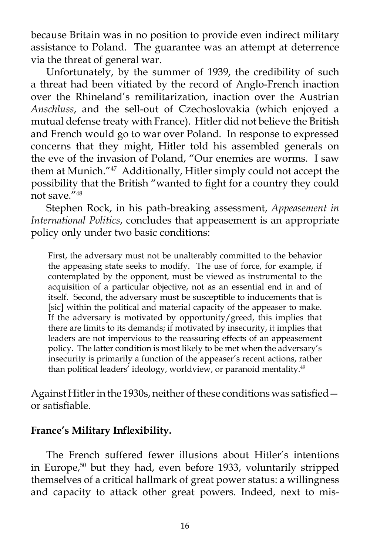because Britain was in no position to provide even indirect military assistance to Poland. The guarantee was an attempt at deterrence via the threat of general war.

 Unfortunately, by the summer of 1939, the credibility of such a threat had been vitiated by the record of Anglo-French inaction over the Rhineland's remilitarization, inaction over the Austrian *Anschluss*, and the sell-out of Czechoslovakia (which enjoyed a mutual defense treaty with France). Hitler did not believe the British and French would go to war over Poland. In response to expressed concerns that they might, Hitler told his assembled generals on the eve of the invasion of Poland, "Our enemies are worms. I saw them at Munich."47 Additionally, Hitler simply could not accept the possibility that the British "wanted to fight for a country they could not save. $748$ 

 Stephen Rock, in his path-breaking assessment, *Appeasement in International Politics*, concludes that appeasement is an appropriate policy only under two basic conditions:

First, the adversary must not be unalterably committed to the behavior the appeasing state seeks to modify. The use of force, for example, if contemplated by the opponent, must be viewed as instrumental to the acquisition of a particular objective, not as an essential end in and of itself. Second, the adversary must be susceptible to inducements that is [sic] within the political and material capacity of the appeaser to make. If the adversary is motivated by opportunity/greed, this implies that there are limits to its demands; if motivated by insecurity, it implies that leaders are not impervious to the reassuring effects of an appeasement policy. The latter condition is most likely to be met when the adversary's insecurity is primarily a function of the appeaser's recent actions, rather than political leaders' ideology, worldview, or paranoid mentality.49

Against Hitler in the 1930s, neither of these conditions was satisfied or satisfiable.

### **France's Military Inflexibility.**

 The French suffered fewer illusions about Hitler's intentions in Europe,50 but they had, even before 1933, voluntarily stripped themselves of a critical hallmark of great power status: a willingness and capacity to attack other great powers. Indeed, next to mis-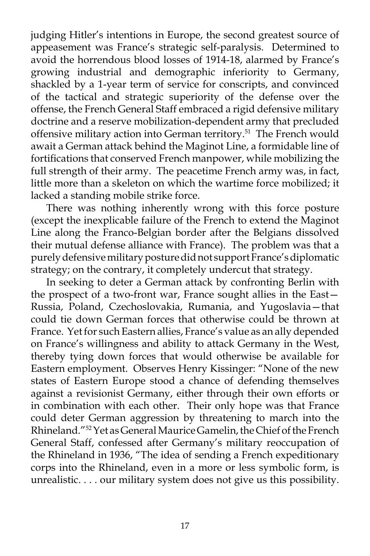judging Hitler's intentions in Europe, the second greatest source of appeasement was France's strategic self-paralysis.Determined to avoid the horrendous blood losses of 1914-18, alarmed by France's growing industrial and demographic inferiority to Germany, shackled by a 1-year term of service for conscripts, and convinced of the tactical and strategic superiority of the defense over the offense, the French General Staff embraced a rigid defensive military doctrine and a reserve mobilization-dependent army that precluded offensive military action into German territory.<sup>51</sup> The French would await a German attack behind the Maginot Line, a formidable line of fortifications that conserved French manpower, while mobilizing the full strength of their army. The peacetime French army was, in fact, little more than a skeleton on which the wartime force mobilized; it lacked a standing mobile strike force.

 There was nothing inherently wrong with this force posture (except the inexplicable failure of the French to extend the Maginot Line along the Franco-Belgian border after the Belgians dissolved their mutual defense alliance with France). The problem was that a purely defensive military posture did not support France's diplomatic strategy; on the contrary, it completely undercut that strategy.

 In seeking to deter a German attack by confronting Berlin with the prospect of a two-front war, France sought allies in the East— Russia, Poland, Czechoslovakia, Rumania, and Yugoslavia—that could tie down German forces that otherwise could be thrown at France. Yet for such Eastern allies, France's value as an ally depended on France's willingness and ability to attack Germany in the West, thereby tying down forces that would otherwise be available for Eastern employment. Observes Henry Kissinger: "None of the new states of Eastern Europe stood a chance of defending themselves against a revisionist Germany, either through their own efforts or in combination with each other. Their only hope was that France could deter German aggression by threatening to march into the Rhineland."52 Yet as General Maurice Gamelin, the Chief of the French General Staff, confessed after Germany's military reoccupation of the Rhineland in 1936, "The idea of sending a French expeditionary corps into the Rhineland, even in a more or less symbolic form, is unrealistic. . . . our military system does not give us this possibility.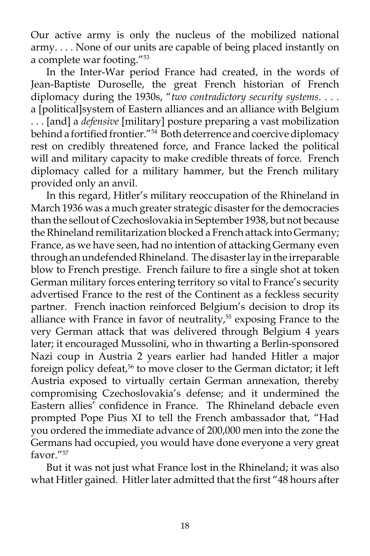Our active army is only the nucleus of the mobilized national army. . . . None of our units are capable of being placed instantly on a complete war footing."53

 In the Inter-War period France had created, in the words of Jean-Baptiste Duroselle, the great French historian of French diplomacy during the 1930s, "*two contradictory security systems*. . . . a [political]system of Eastern alliances and an alliance with Belgium . . . [and] a *defensive* [military] posture preparing a vast mobilization behind a fortified frontier."<sup>54</sup> Both deterrence and coercive diplomacy rest on credibly threatened force, and France lacked the political will and military capacity to make credible threats of force. French diplomacy called for a military hammer, but the French military provided only an anvil.

 In this regard, Hitler's military reoccupation of the Rhineland in March 1936 was a much greater strategic disaster for the democracies than the sellout of Czechoslovakia in September 1938, but not because the Rhineland remilitarization blocked a French attack into Germany; France, as we have seen, had no intention of attacking Germany even through an undefended Rhineland. The disaster lay in the irreparable blow to French prestige. French failure to fire a single shot at token German military forces entering territory so vital to France's security advertised France to the rest of the Continent as a feckless security partner. French inaction reinforced Belgium's decision to drop its alliance with France in favor of neutrality,<sup>55</sup> exposing France to the very German attack that was delivered through Belgium 4 years later; it encouraged Mussolini, who in thwarting a Berlin-sponsored Nazi coup in Austria 2 years earlier had handed Hitler a major foreign policy defeat,<sup>56</sup> to move closer to the German dictator; it left Austria exposed to virtually certain German annexation, thereby compromising Czechoslovakia's defense; and it undermined the Eastern allies' confidence in France. The Rhineland debacle even prompted Pope Pius XI to tell the French ambassador that, "Had you ordered the immediate advance of 200,000 men into the zone the Germans had occupied, you would have done everyone a very great favor<sup>"57</sup>

 But it was not just what France lost in the Rhineland; it was also what Hitler gained. Hitler later admitted that the first "48 hours after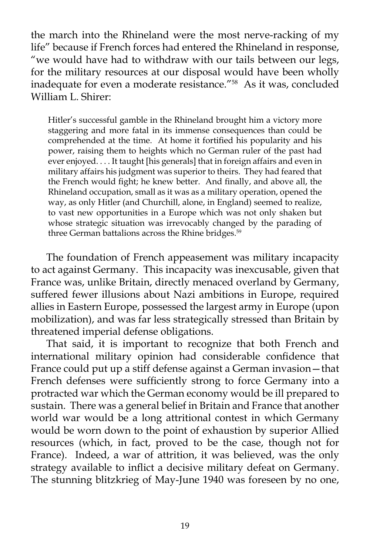the march into the Rhineland were the most nerve-racking of my life" because if French forces had entered the Rhineland in response, "we would have had to withdraw with our tails between our legs, for the military resources at our disposal would have been wholly inadequate for even a moderate resistance."58 As it was, concluded William L. Shirer:

Hitler's successful gamble in the Rhineland brought him a victory more staggering and more fatal in its immense consequences than could be comprehended at the time. At home it fortified his popularity and his power, raising them to heights which no German ruler of the past had ever enjoyed. . . . It taught [his generals] that in foreign affairs and even in military affairs his judgment was superior to theirs. They had feared that the French would fight; he knew better. And finally, and above all, the Rhineland occupation, small as it was as a military operation, opened the way, as only Hitler (and Churchill, alone, in England) seemed to realize, to vast new opportunities in a Europe which was not only shaken but whose strategic situation was irrevocably changed by the parading of three German battalions across the Rhine bridges.<sup>59</sup>

 The foundation of French appeasement was military incapacity to act against Germany. This incapacity was inexcusable, given that France was, unlike Britain, directly menaced overland by Germany, suffered fewer illusions about Nazi ambitions in Europe, required allies in Eastern Europe, possessed the largest army in Europe (upon mobilization), and was far less strategically stressed than Britain by threatened imperial defense obligations.

 That said, it is important to recognize that both French and international military opinion had considerable confidence that France could put up a stiff defense against a German invasion—that French defenses were sufficiently strong to force Germany into a protracted war which the German economy would be ill prepared to sustain. There was a general belief in Britain and France that another world war would be a long attritional contest in which Germany would be worn down to the point of exhaustion by superior Allied resources (which, in fact, proved to be the case, though not for France). Indeed, a war of attrition, it was believed, was the only strategy available to inflict a decisive military defeat on Germany. The stunning blitzkrieg of May-June 1940 was foreseen by no one,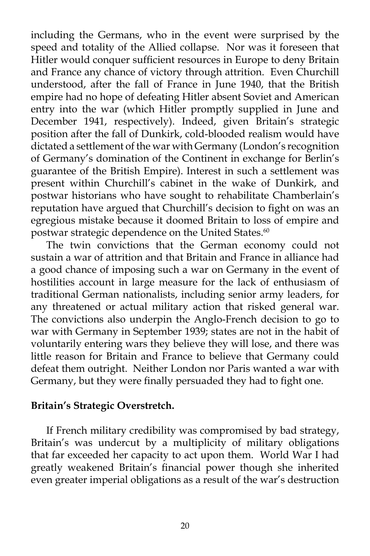including the Germans, who in the event were surprised by the speed and totality of the Allied collapse. Nor was it foreseen that Hitler would conquer sufficient resources in Europe to deny Britain and France any chance of victory through attrition. Even Churchill understood, after the fall of France in June 1940, that the British empire had no hope of defeating Hitler absent Soviet and American entry into the war (which Hitler promptly supplied in June and December 1941, respectively). Indeed, given Britain's strategic position after the fall of Dunkirk, cold-blooded realism would have dictated a settlement of the war with Germany (London's recognition of Germany's domination of the Continent in exchange for Berlin's guarantee of the British Empire). Interest in such a settlement was present within Churchill's cabinet in the wake of Dunkirk, and postwar historians who have sought to rehabilitate Chamberlain's reputation have argued that Churchill's decision to fight on was an egregious mistake because it doomed Britain to loss of empire and postwar strategic dependence on the United States.<sup>60</sup>

 The twin convictions that the German economy could not sustain a war of attrition and that Britain and France in alliance had a good chance of imposing such a war on Germany in the event of hostilities account in large measure for the lack of enthusiasm of traditional German nationalists, including senior army leaders, for any threatened or actual military action that risked general war. The convictions also underpin the Anglo-French decision to go to war with Germany in September 1939; states are not in the habit of voluntarily entering wars they believe they will lose, and there was little reason for Britain and France to believe that Germany could defeat them outright. Neither London nor Paris wanted a war with Germany, but they were finally persuaded they had to fight one.

#### **Britain's Strategic Overstretch.**

 If French military credibility was compromised by bad strategy, Britain's was undercut by a multiplicity of military obligations that far exceeded her capacity to act upon them. World War I had greatly weakened Britain's financial power though she inherited even greater imperial obligations as a result of the war's destruction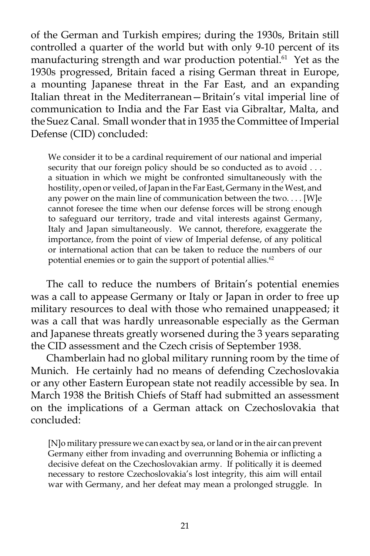of the German and Turkish empires; during the 1930s, Britain still controlled a quarter of the world but with only 9-10 percent of its manufacturing strength and war production potential.<sup>61</sup> Yet as the 1930s progressed, Britain faced a rising German threat in Europe, a mounting Japanese threat in the Far East, and an expanding Italian threat in the Mediterranean—Britain's vital imperial line of communication to India and the Far East via Gibraltar, Malta, and the Suez Canal. Small wonder that in 1935 the Committee of Imperial Defense (CID) concluded:

We consider it to be a cardinal requirement of our national and imperial security that our foreign policy should be so conducted as to avoid . . . a situation in which we might be confronted simultaneously with the hostility, open or veiled, of Japan in the Far East, Germany in the West, and any power on the main line of communication between the two. . . . [W]e cannot foresee the time when our defense forces will be strong enough to safeguard our territory, trade and vital interests against Germany, Italy and Japan simultaneously. We cannot, therefore, exaggerate the importance, from the point of view of Imperial defense, of any political or international action that can be taken to reduce the numbers of our potential enemies or to gain the support of potential allies.<sup>62</sup>

 The call to reduce the numbers of Britain's potential enemies was a call to appease Germany or Italy or Japan in order to free up military resources to deal with those who remained unappeased; it was a call that was hardly unreasonable especially as the German and Japanese threats greatly worsened during the 3 years separating the CID assessment and the Czech crisis of September 1938.

 Chamberlain had no global military running room by the time of Munich. He certainly had no means of defending Czechoslovakia or any other Eastern European state not readily accessible by sea. In March 1938 the British Chiefs of Staff had submitted an assessment on the implications of a German attack on Czechoslovakia that concluded:

[N]o military pressure we can exact by sea, or land or in the air can prevent Germany either from invading and overrunning Bohemia or inflicting a decisive defeat on the Czechoslovakian army. If politically it is deemed necessary to restore Czechoslovakia's lost integrity, this aim will entail war with Germany, and her defeat may mean a prolonged struggle. In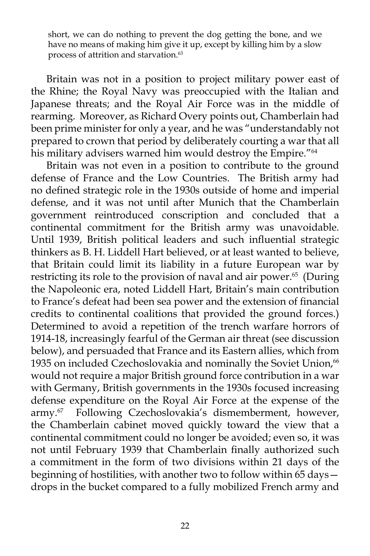short, we can do nothing to prevent the dog getting the bone, and we have no means of making him give it up, except by killing him by a slow process of attrition and starvation.<sup>63</sup>

 Britain was not in a position to project military power east of the Rhine; the Royal Navy was preoccupied with the Italian and Japanese threats; and the Royal Air Force was in the middle of rearming. Moreover, as Richard Overy points out, Chamberlain had been prime minister for only a year, and he was "understandably not prepared to crown that period by deliberately courting a war that all his military advisers warned him would destroy the Empire."<sup>64</sup>

 Britain was not even in a position to contribute to the ground defense of France and the Low Countries. The British army had no defined strategic role in the 1930s outside of home and imperial defense, and it was not until after Munich that the Chamberlain government reintroduced conscription and concluded that a continental commitment for the British army was unavoidable. Until 1939, British political leaders and such influential strategic thinkers as B. H. Liddell Hart believed, or at least wanted to believe, that Britain could limit its liability in a future European war by restricting its role to the provision of naval and air power.<sup>65</sup> (During the Napoleonic era, noted Liddell Hart, Britain's main contribution to France's defeat had been sea power and the extension of financial credits to continental coalitions that provided the ground forces.) Determined to avoid a repetition of the trench warfare horrors of 1914-18, increasingly fearful of the German air threat (see discussion below), and persuaded that France and its Eastern allies, which from 1935 on included Czechoslovakia and nominally the Soviet Union,<sup>66</sup> would not require a major British ground force contribution in a war with Germany, British governments in the 1930s focused increasing defense expenditure on the Royal Air Force at the expense of the army.67 Following Czechoslovakia's dismemberment, however, the Chamberlain cabinet moved quickly toward the view that a continental commitment could no longer be avoided; even so, it was not until February 1939 that Chamberlain finally authorized such a commitment in the form of two divisions within 21 days of the beginning of hostilities, with another two to follow within 65 days drops in the bucket compared to a fully mobilized French army and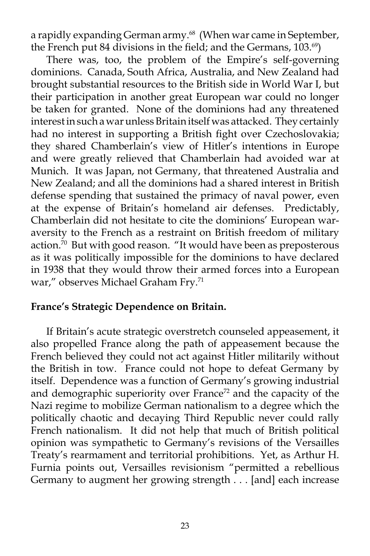a rapidly expanding German army.<sup>68</sup> (When war came in September, the French put 84 divisions in the field; and the Germans, 103.<sup>69</sup>)

 There was, too, the problem of the Empire's self-governing dominions. Canada, South Africa, Australia, and New Zealand had brought substantial resources to the British side in World War I, but their participation in another great European war could no longer be taken for granted. None of the dominions had any threatened interest in such a war unless Britain itself was attacked. They certainly had no interest in supporting a British fight over Czechoslovakia; they shared Chamberlain's view of Hitler's intentions in Europe and were greatly relieved that Chamberlain had avoided war at Munich. It was Japan, not Germany, that threatened Australia and New Zealand; and all the dominions had a shared interest in British defense spending that sustained the primacy of naval power, even at the expense of Britain's homeland air defenses. Predictably, Chamberlain did not hesitate to cite the dominions' European waraversity to the French as a restraint on British freedom of military action.<sup> $\tilde{z}$ 0 But with good reason. "It would have been as preposterous</sup> as it was politically impossible for the dominions to have declared in 1938 that they would throw their armed forces into a European war," observes Michael Graham Fry.<sup>71</sup>

## **France's Strategic Dependence on Britain.**

 If Britain's acute strategic overstretch counseled appeasement, it also propelled France along the path of appeasement because the French believed they could not act against Hitler militarily without the British in tow. France could not hope to defeat Germany by itself. Dependence was a function of Germany's growing industrial and demographic superiority over France<sup>72</sup> and the capacity of the Nazi regime to mobilize German nationalism to a degree which the politically chaotic and decaying Third Republic never could rally French nationalism. It did not help that much of British political opinion was sympathetic to Germany's revisions of the Versailles Treaty's rearmament and territorial prohibitions. Yet, as Arthur H. Furnia points out, Versailles revisionism "permitted a rebellious Germany to augment her growing strength . . . [and] each increase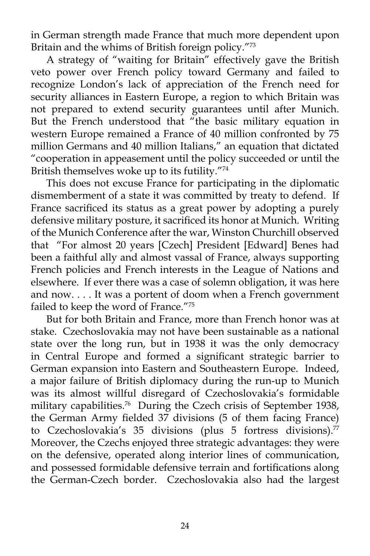in German strength made France that much more dependent upon Britain and the whims of British foreign policy."73

 A strategy of "waiting for Britain" effectively gave the British veto power over French policy toward Germany and failed to recognize London's lack of appreciation of the French need for security alliances in Eastern Europe, a region to which Britain was not prepared to extend security guarantees until after Munich. But the French understood that "the basic military equation in western Europe remained a France of 40 million confronted by 75 million Germans and 40 million Italians," an equation that dictated "cooperation in appeasement until the policy succeeded or until the British themselves woke up to its futility."74

 This does not excuse France for participating in the diplomatic dismemberment of a state it was committed by treaty to defend. If France sacrificed its status as a great power by adopting a purely defensive military posture, it sacrificed its honor at Munich. Writing of the Munich Conference after the war, Winston Churchill observed that "For almost 20 years [Czech] President [Edward] Benes had been a faithful ally and almost vassal of France, always supporting French policies and French interests in the League of Nations and elsewhere. If ever there was a case of solemn obligation, it was here and now. . . . It was a portent of doom when a French government failed to keep the word of France."75

 But for both Britain and France, more than French honor was at stake. Czechoslovakia may not have been sustainable as a national state over the long run, but in 1938 it was the only democracy in Central Europe and formed a significant strategic barrier to German expansion into Eastern and Southeastern Europe. Indeed, a major failure of British diplomacy during the run-up to Munich was its almost willful disregard of Czechoslovakia's formidable military capabilities.<sup>76</sup> During the Czech crisis of September 1938, the German Army fielded 37 divisions (5 of them facing France) to Czechoslovakia's 35 divisions (plus 5 fortress divisions).<sup>77</sup> Moreover, the Czechs enjoyed three strategic advantages: they were on the defensive, operated along interior lines of communication, and possessed formidable defensive terrain and fortifications along the German-Czech border. Czechoslovakia also had the largest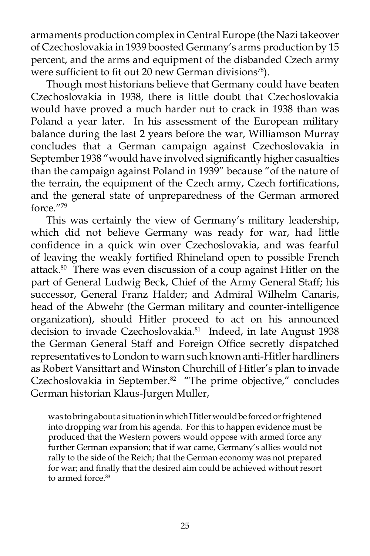armaments production complex in Central Europe (the Nazi takeover of Czechoslovakia in 1939 boosted Germany's arms production by 15 percent, and the arms and equipment of the disbanded Czech army were sufficient to fit out 20 new German divisions<sup>78</sup>).

 Though most historians believe that Germany could have beaten Czechoslovakia in 1938, there is little doubt that Czechoslovakia would have proved a much harder nut to crack in 1938 than was Poland a year later. In his assessment of the European military balance during the last 2 years before the war, Williamson Murray concludes that a German campaign against Czechoslovakia in September 1938 "would have involved significantly higher casualties than the campaign against Poland in 1939" because "of the nature of the terrain, the equipment of the Czech army, Czech fortifications, and the general state of unpreparedness of the German armored force<sup>"79</sup>

 This was certainly the view of Germany's military leadership, which did not believe Germany was ready for war, had little confidence in a quick win over Czechoslovakia, and was fearful of leaving the weakly fortified Rhineland open to possible French attack. $80$  There was even discussion of a coup against Hitler on the part of General Ludwig Beck, Chief of the Army General Staff; his successor, General Franz Halder; and Admiral Wilhelm Canaris, head of the Abwehr (the German military and counter-intelligence organization), should Hitler proceed to act on his announced decision to invade Czechoslovakia.<sup>81</sup> Indeed, in late August 1938 the German General Staff and Foreign Office secretly dispatched representatives to London to warn such known anti-Hitler hardliners as Robert Vansittart and Winston Churchill of Hitler's plan to invade Czechoslovakia in September.<sup>82</sup> "The prime objective," concludes German historian Klaus-Jurgen Muller,

was to bring about a situation in which Hitler would be forced or frightened into dropping war from his agenda. For this to happen evidence must be produced that the Western powers would oppose with armed force any further German expansion; that if war came, Germany's allies would not rally to the side of the Reich; that the German economy was not prepared for war; and finally that the desired aim could be achieved without resort to armed force.<sup>83</sup>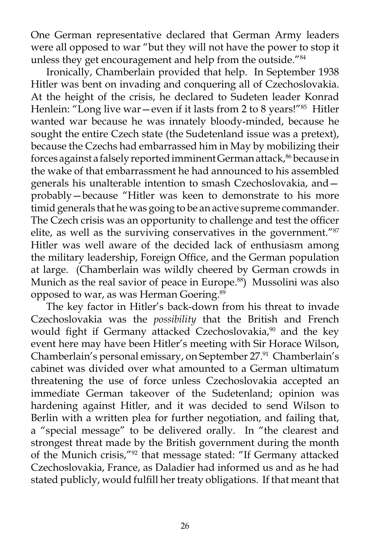One German representative declared that German Army leaders were all opposed to war "but they will not have the power to stop it unless they get encouragement and help from the outside."<sup>84</sup>

 Ironically, Chamberlain provided that help. In September 1938 Hitler was bent on invading and conquering all of Czechoslovakia. At the height of the crisis, he declared to Sudeten leader Konrad Henlein: "Long live war—even if it lasts from 2 to 8 years!" $85$  Hitler wanted war because he was innately bloody-minded, because he sought the entire Czech state (the Sudetenland issue was a pretext), because the Czechs had embarrassed him in May by mobilizing their forces against a falsely reported imminent German attack,<sup>86</sup> because in the wake of that embarrassment he had announced to his assembled generals his unalterable intention to smash Czechoslovakia, and probably—because "Hitler was keen to demonstrate to his more timid generals that he was going to be an active supreme commander. The Czech crisis was an opportunity to challenge and test the officer elite, as well as the surviving conservatives in the government."87 Hitler was well aware of the decided lack of enthusiasm among the military leadership, Foreign Office, and the German population at large. (Chamberlain was wildly cheered by German crowds in Munich as the real savior of peace in Europe.<sup>88</sup>) Mussolini was also opposed to war, as was Herman Goering.<sup>89</sup>

 The key factor in Hitler's back-down from his threat to invade Czechoslovakia was the *possibility* that the British and French would fight if Germany attacked Czechoslovakia,<sup>90</sup> and the key event here may have been Hitler's meeting with Sir Horace Wilson, Chamberlain's personal emissary, on September 27.<sup>91</sup> Chamberlain's cabinet was divided over what amounted to a German ultimatum threatening the use of force unless Czechoslovakia accepted an immediate German takeover of the Sudetenland; opinion was hardening against Hitler, and it was decided to send Wilson to Berlin with a written plea for further negotiation, and failing that, a "special message" to be delivered orally. In "the clearest and strongest threat made by the British government during the month of the Munich crisis,"92 that message stated: "If Germany attacked Czechoslovakia, France, as Daladier had informed us and as he had stated publicly, would fulfill her treaty obligations. If that meant that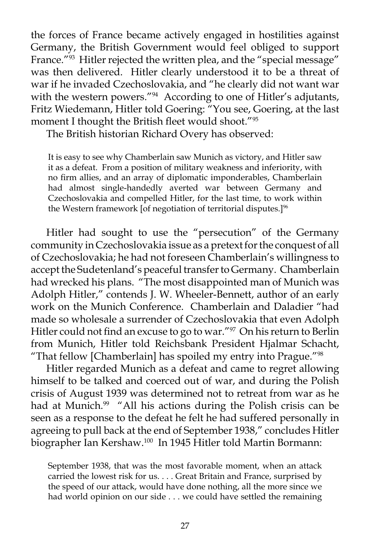the forces of France became actively engaged in hostilities against Germany, the British Government would feel obliged to support France."<sup>93</sup> Hitler rejected the written plea, and the "special message" was then delivered. Hitler clearly understood it to be a threat of war if he invaded Czechoslovakia, and "he clearly did not want war with the western powers."<sup>94</sup> According to one of Hitler's adjutants, Fritz Wiedemann, Hitler told Goering: "You see, Goering, at the last moment I thought the British fleet would shoot."95

The British historian Richard Overy has observed:

It is easy to see why Chamberlain saw Munich as victory, and Hitler saw it as a defeat. From a position of military weakness and inferiority, with no firm allies, and an array of diplomatic imponderables, Chamberlain had almost single-handedly averted war between Germany and Czechoslovakia and compelled Hitler, for the last time, to work within the Western framework [of negotiation of territorial disputes.]<sup>96</sup>

 Hitler had sought to use the "persecution" of the Germany community in Czechoslovakia issue as a pretext for the conquest of all of Czechoslovakia; he had not foreseen Chamberlain's willingness to accept the Sudetenland's peaceful transfer to Germany. Chamberlain had wrecked his plans. "The most disappointed man of Munich was Adolph Hitler," contends J. W. Wheeler-Bennett, author of an early work on the Munich Conference. Chamberlain and Daladier "had made so wholesale a surrender of Czechoslovakia that even Adolph Hitler could not find an excuse to go to war."<sup>97</sup> On his return to Berlin from Munich, Hitler told Reichsbank President Hjalmar Schacht, "That fellow [Chamberlain] has spoiled my entry into Prague."98

 Hitler regarded Munich as a defeat and came to regret allowing himself to be talked and coerced out of war, and during the Polish crisis of August 1939 was determined not to retreat from war as he had at Munich.<sup>99</sup> "All his actions during the Polish crisis can be seen as a response to the defeat he felt he had suffered personally in agreeing to pull back at the end of September 1938," concludes Hitler biographer Ian Kershaw.100 In 1945 Hitler told Martin Bormann:

September 1938, that was the most favorable moment, when an attack carried the lowest risk for us. . . . Great Britain and France, surprised by the speed of our attack, would have done nothing, all the more since we had world opinion on our side . . . we could have settled the remaining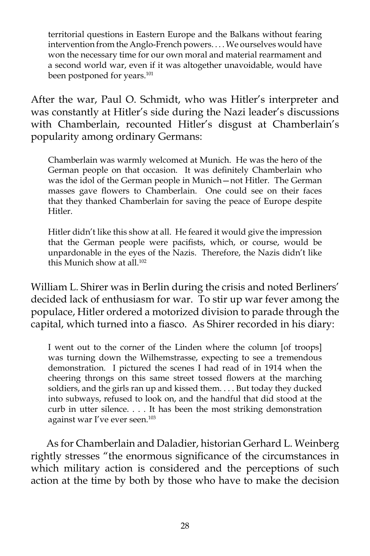territorial questions in Eastern Europe and the Balkans without fearing intervention from the Anglo-French powers. . . . We ourselves would have won the necessary time for our own moral and material rearmament and a second world war, even if it was altogether unavoidable, would have been postponed for years.<sup>101</sup>

After the war, Paul O. Schmidt, who was Hitler's interpreter and was constantly at Hitler's side during the Nazi leader's discussions with Chamberlain, recounted Hitler's disgust at Chamberlain's popularity among ordinary Germans:

Chamberlain was warmly welcomed at Munich. He was the hero of the German people on that occasion. It was definitely Chamberlain who was the idol of the German people in Munich—not Hitler. The German masses gave flowers to Chamberlain. One could see on their faces that they thanked Chamberlain for saving the peace of Europe despite Hitler.

Hitler didn't like this show at all. He feared it would give the impression that the German people were pacifists, which, or course, would be unpardonable in the eyes of the Nazis. Therefore, the Nazis didn't like this Munich show at all.<sup>102</sup>

William L. Shirer was in Berlin during the crisis and noted Berliners' decided lack of enthusiasm for war. To stir up war fever among the populace, Hitler ordered a motorized division to parade through the capital, which turned into a fiasco. As Shirer recorded in his diary:

I went out to the corner of the Linden where the column [of troops] was turning down the Wilhemstrasse, expecting to see a tremendous demonstration. I pictured the scenes I had read of in 1914 when the cheering throngs on this same street tossed flowers at the marching soldiers, and the girls ran up and kissed them. . . . But today they ducked into subways, refused to look on, and the handful that did stood at the curb in utter silence. . . . It has been the most striking demonstration against war I've ever seen.<sup>103</sup>

 As for Chamberlain and Daladier, historian Gerhard L. Weinberg rightly stresses "the enormous significance of the circumstances in which military action is considered and the perceptions of such action at the time by both by those who have to make the decision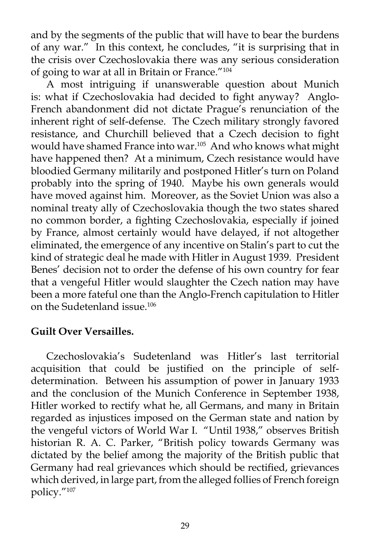and by the segments of the public that will have to bear the burdens of any war." In this context, he concludes, "it is surprising that in the crisis over Czechoslovakia there was any serious consideration of going to war at all in Britain or France."104

 A most intriguing if unanswerable question about Munich is: what if Czechoslovakia had decided to fight anyway? Anglo-French abandonment did not dictate Prague's renunciation of the inherent right of self-defense. The Czech military strongly favored resistance, and Churchill believed that a Czech decision to fight would have shamed France into war.<sup>105</sup> And who knows what might have happened then? At a minimum, Czech resistance would have bloodied Germany militarily and postponed Hitler's turn on Poland probably into the spring of 1940. Maybe his own generals would have moved against him. Moreover, as the Soviet Union was also a nominal treaty ally of Czechoslovakia though the two states shared no common border, a fighting Czechoslovakia, especially if joined by France, almost certainly would have delayed, if not altogether eliminated, the emergence of any incentive on Stalin's part to cut the kind of strategic deal he made with Hitler in August 1939. President Benes' decision not to order the defense of his own country for fear that a vengeful Hitler would slaughter the Czech nation may have been a more fateful one than the Anglo-French capitulation to Hitler on the Sudetenland issue.106

### **Guilt Over Versailles.**

 Czechoslovakia's Sudetenland was Hitler's last territorial acquisition that could be justified on the principle of selfdetermination. Between his assumption of power in January 1933 and the conclusion of the Munich Conference in September 1938, Hitler worked to rectify what he, all Germans, and many in Britain regarded as injustices imposed on the German state and nation by the vengeful victors of World War I. "Until 1938," observes British historian R. A. C. Parker, "British policy towards Germany was dictated by the belief among the majority of the British public that Germany had real grievances which should be rectified, grievances which derived, in large part, from the alleged follies of French foreign policy."107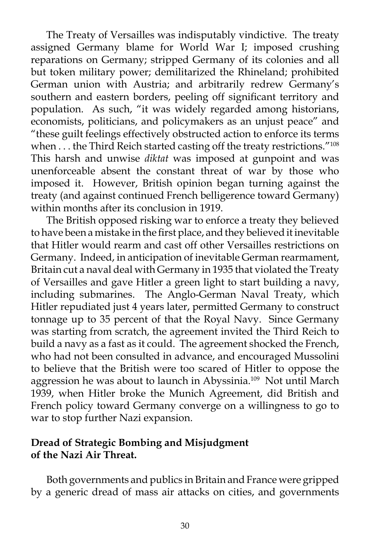The Treaty of Versailles was indisputably vindictive. The treaty assigned Germany blame for World War I; imposed crushing reparations on Germany; stripped Germany of its colonies and all but token military power; demilitarized the Rhineland; prohibited German union with Austria; and arbitrarily redrew Germany's southern and eastern borders, peeling off significant territory and population. As such, "it was widely regarded among historians, economists, politicians, and policymakers as an unjust peace" and "these guilt feelings effectively obstructed action to enforce its terms when . . . the Third Reich started casting off the treaty restrictions."<sup>108</sup> This harsh and unwise *diktat* was imposed at gunpoint and was unenforceable absent the constant threat of war by those who imposed it. However, British opinion began turning against the treaty (and against continued French belligerence toward Germany) within months after its conclusion in 1919.

 The British opposed risking war to enforce a treaty they believed to have been a mistake in the first place, and they believed it inevitable that Hitler would rearm and cast off other Versailles restrictions on Germany. Indeed, in anticipation of inevitable German rearmament, Britain cut a naval deal with Germany in 1935 that violated the Treaty of Versailles and gave Hitler a green light to start building a navy, including submarines. The Anglo-German Naval Treaty, which Hitler repudiated just 4 years later, permitted Germany to construct tonnage up to 35 percent of that the Royal Navy. Since Germany was starting from scratch, the agreement invited the Third Reich to build a navy as a fast as it could. The agreement shocked the French, who had not been consulted in advance, and encouraged Mussolini to believe that the British were too scared of Hitler to oppose the aggression he was about to launch in Abyssinia.109 Not until March 1939, when Hitler broke the Munich Agreement, did British and French policy toward Germany converge on a willingness to go to war to stop further Nazi expansion.

## **Dread of Strategic Bombing and Misjudgment of the Nazi Air Threat.**

 Both governments and publics in Britain and France were gripped by a generic dread of mass air attacks on cities, and governments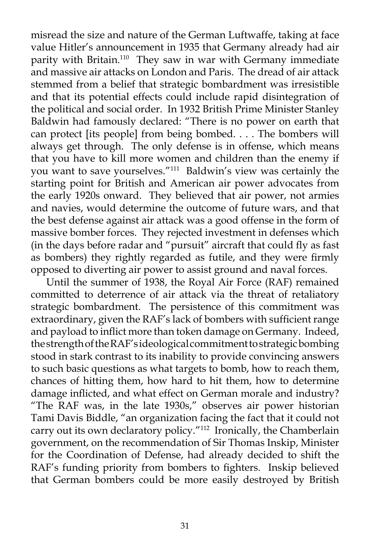misread the size and nature of the German Luftwaffe, taking at face value Hitler's announcement in 1935 that Germany already had air parity with Britain.<sup>110</sup> They saw in war with Germany immediate and massive air attacks on London and Paris. The dread of air attack stemmed from a belief that strategic bombardment was irresistible and that its potential effects could include rapid disintegration of the political and social order. In 1932 British Prime Minister Stanley Baldwin had famously declared: "There is no power on earth that can protect [its people] from being bombed. . . . The bombers will always get through. The only defense is in offense, which means that you have to kill more women and children than the enemy if you want to save yourselves."<sup>111</sup> Baldwin's view was certainly the starting point for British and American air power advocates from the early 1920s onward. They believed that air power, not armies and navies, would determine the outcome of future wars, and that the best defense against air attack was a good offense in the form of massive bomber forces. They rejected investment in defenses which (in the days before radar and "pursuit" aircraft that could fly as fast as bombers) they rightly regarded as futile, and they were firmly opposed to diverting air power to assist ground and naval forces.

 Until the summer of 1938, the Royal Air Force (RAF) remained committed to deterrence of air attack via the threat of retaliatory strategic bombardment. The persistence of this commitment was extraordinary, given the RAF's lack of bombers with sufficient range and payload to inflict more than token damage on Germany. Indeed, the strength of the RAF's ideological commitment to strategic bombing stood in stark contrast to its inability to provide convincing answers to such basic questions as what targets to bomb, how to reach them, chances of hitting them, how hard to hit them, how to determine damage inflicted, and what effect on German morale and industry? "The RAF was, in the late 1930s," observes air power historian Tami Davis Biddle, "an organization facing the fact that it could not carry out its own declaratory policy."<sup>112</sup> Ironically, the Chamberlain government, on the recommendation of Sir Thomas Inskip, Minister for the Coordination of Defense, had already decided to shift the RAF's funding priority from bombers to fighters. Inskip believed that German bombers could be more easily destroyed by British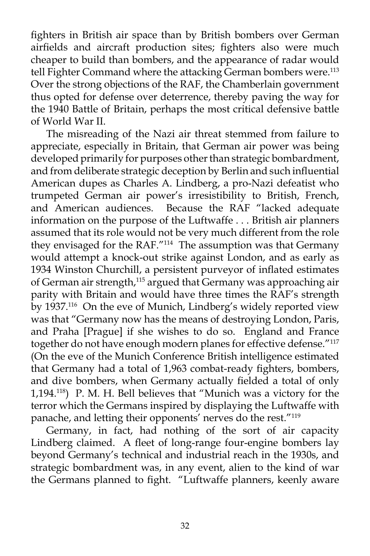fighters in British air space than by British bombers over German airfields and aircraft production sites; fighters also were much cheaper to build than bombers, and the appearance of radar would tell Fighter Command where the attacking German bombers were.<sup>113</sup> Over the strong objections of the RAF, the Chamberlain government thus opted for defense over deterrence, thereby paving the way for the 1940 Battle of Britain, perhaps the most critical defensive battle of World War II.

 The misreading of the Nazi air threat stemmed from failure to appreciate, especially in Britain, that German air power was being developed primarily for purposes other than strategic bombardment, and from deliberate strategic deception by Berlin and such influential American dupes as Charles A. Lindberg, a pro-Nazi defeatist who trumpeted German air power's irresistibility to British, French, and American audiences. Because the RAF "lacked adequate information on the purpose of the Luftwaffe . . . British air planners assumed that its role would not be very much different from the role they envisaged for the RAF."114 The assumption was that Germany would attempt a knock-out strike against London, and as early as 1934 Winston Churchill, a persistent purveyor of inflated estimates of German air strength,115 argued that Germany was approaching air parity with Britain and would have three times the RAF's strength by 1937.116 On the eve of Munich, Lindberg's widely reported view was that "Germany now has the means of destroying London, Paris, and Praha [Prague] if she wishes to do so. England and France together do not have enough modern planes for effective defense."<sup>117</sup> (On the eve of the Munich Conference British intelligence estimated that Germany had a total of 1,963 combat-ready fighters, bombers, and dive bombers, when Germany actually fielded a total of only 1,194.118) P. M. H. Bell believes that "Munich was a victory for the terror which the Germans inspired by displaying the Luftwaffe with panache, and letting their opponents' nerves do the rest."119

 Germany, in fact, had nothing of the sort of air capacity Lindberg claimed. A fleet of long-range four-engine bombers lay beyond Germany's technical and industrial reach in the 1930s, and strategic bombardment was, in any event, alien to the kind of war the Germans planned to fight. "Luftwaffe planners, keenly aware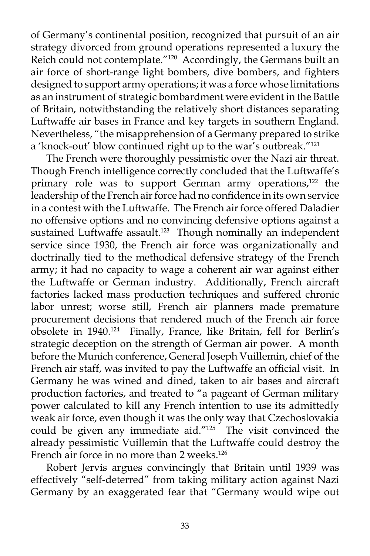of Germany's continental position, recognized that pursuit of an air strategy divorced from ground operations represented a luxury the Reich could not contemplate."<sup>120</sup> Accordingly, the Germans built an air force of short-range light bombers, dive bombers, and fighters designed to support army operations; it was a force whose limitations as an instrument of strategic bombardment were evident in the Battle of Britain, notwithstanding the relatively short distances separating Luftwaffe air bases in France and key targets in southern England. Nevertheless, "the misapprehension of a Germany prepared to strike a 'knock-out' blow continued right up to the war's outbreak."121

 The French were thoroughly pessimistic over the Nazi air threat. Though French intelligence correctly concluded that the Luftwaffe's primary role was to support German army operations,<sup>122</sup> the leadership of the French air force had no confidence in its own service in a contest with the Luftwaffe. The French air force offered Daladier no offensive options and no convincing defensive options against a sustained Luftwaffe assault.<sup>123</sup> Though nominally an independent service since 1930, the French air force was organizationally and doctrinally tied to the methodical defensive strategy of the French army; it had no capacity to wage a coherent air war against either the Luftwaffe or German industry. Additionally, French aircraft factories lacked mass production techniques and suffered chronic labor unrest; worse still, French air planners made premature procurement decisions that rendered much of the French air force obsolete in 1940.124 Finally, France, like Britain, fell for Berlin's strategic deception on the strength of German air power. A month before the Munich conference, General Joseph Vuillemin, chief of the French air staff, was invited to pay the Luftwaffe an official visit. In Germany he was wined and dined, taken to air bases and aircraft production factories, and treated to "a pageant of German military power calculated to kill any French intention to use its admittedly weak air force, even though it was the only way that Czechoslovakia could be given any immediate aid."125 The visit convinced the already pessimistic Vuillemin that the Luftwaffe could destroy the French air force in no more than 2 weeks.<sup>126</sup>

 Robert Jervis argues convincingly that Britain until 1939 was effectively "self-deterred" from taking military action against Nazi Germany by an exaggerated fear that "Germany would wipe out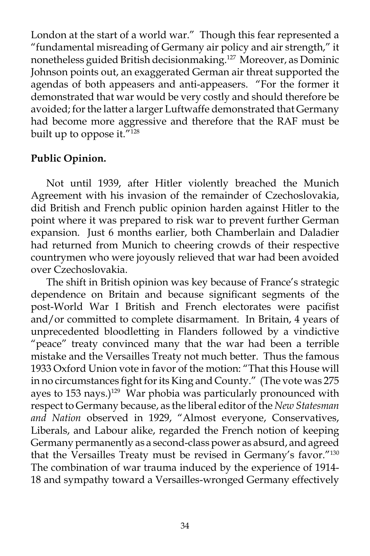London at the start of a world war." Though this fear represented a "fundamental misreading of Germany air policy and air strength," it nonetheless guided British decisionmaking.127 Moreover, as Dominic Johnson points out, an exaggerated German air threat supported the agendas of both appeasers and anti-appeasers. "For the former it demonstrated that war would be very costly and should therefore be avoided; for the latter a larger Luftwaffe demonstrated that Germany had become more aggressive and therefore that the RAF must be built up to oppose it."<sup>128</sup>

# **Public Opinion.**

 Not until 1939, after Hitler violently breached the Munich Agreement with his invasion of the remainder of Czechoslovakia, did British and French public opinion harden against Hitler to the point where it was prepared to risk war to prevent further German expansion. Just 6 months earlier, both Chamberlain and Daladier had returned from Munich to cheering crowds of their respective countrymen who were joyously relieved that war had been avoided over Czechoslovakia.

 The shift in British opinion was key because of France's strategic dependence on Britain and because significant segments of the post-World War I British and French electorates were pacifist and/or committed to complete disarmament. In Britain, 4 years of unprecedented bloodletting in Flanders followed by a vindictive "peace" treaty convinced many that the war had been a terrible mistake and the Versailles Treaty not much better. Thus the famous 1933 Oxford Union vote in favor of the motion: "That this House will in no circumstances fight for its King and County." (The vote was 275 ayes to 153 nays.)<sup>129</sup> War phobia was particularly pronounced with respect to Germany because, as the liberal editor of the *New Statesman and Nation* observed in 1929, "Almost everyone, Conservatives, Liberals, and Labour alike, regarded the French notion of keeping Germany permanently as a second-class power as absurd, and agreed that the Versailles Treaty must be revised in Germany's favor."130 The combination of war trauma induced by the experience of 1914- 18 and sympathy toward a Versailles-wronged Germany effectively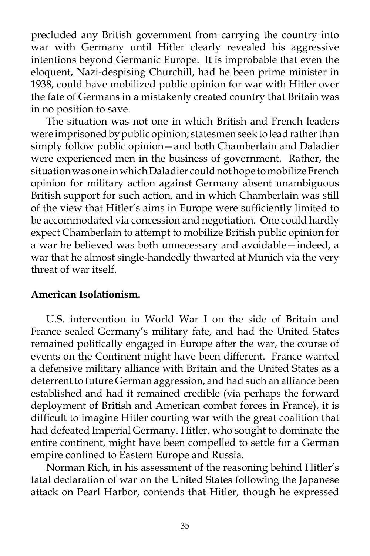precluded any British government from carrying the country into war with Germany until Hitler clearly revealed his aggressive intentions beyond Germanic Europe. It is improbable that even the eloquent, Nazi-despising Churchill, had he been prime minister in 1938, could have mobilized public opinion for war with Hitler over the fate of Germans in a mistakenly created country that Britain was in no position to save.

 The situation was not one in which British and French leaders were imprisoned by public opinion; statesmen seek to lead rather than simply follow public opinion—and both Chamberlain and Daladier were experienced men in the business of government. Rather, the situation was one in which Daladier could not hope to mobilize French opinion for military action against Germany absent unambiguous British support for such action, and in which Chamberlain was still of the view that Hitler's aims in Europe were sufficiently limited to be accommodated via concession and negotiation. One could hardly expect Chamberlain to attempt to mobilize British public opinion for a war he believed was both unnecessary and avoidable—indeed, a war that he almost single-handedly thwarted at Munich via the very threat of war itself.

### **American Isolationism.**

 U.S. intervention in World War I on the side of Britain and France sealed Germany's military fate, and had the United States remained politically engaged in Europe after the war, the course of events on the Continent might have been different. France wanted a defensive military alliance with Britain and the United States as a deterrent to future German aggression, and had such an alliance been established and had it remained credible (via perhaps the forward deployment of British and American combat forces in France), it is difficult to imagine Hitler courting war with the great coalition that had defeated Imperial Germany. Hitler, who sought to dominate the entire continent, might have been compelled to settle for a German empire confined to Eastern Europe and Russia.

 Norman Rich, in his assessment of the reasoning behind Hitler's fatal declaration of war on the United States following the Japanese attack on Pearl Harbor, contends that Hitler, though he expressed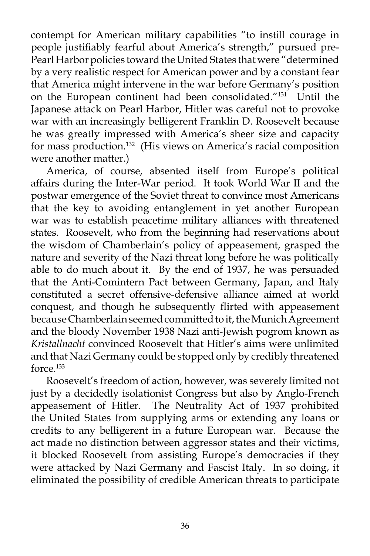contempt for American military capabilities "to instill courage in people justifiably fearful about America's strength," pursued pre-Pearl Harbor policies toward the United States that were "determined by a very realistic respect for American power and by a constant fear that America might intervene in the war before Germany's position on the European continent had been consolidated."<sup>131</sup> Until the Japanese attack on Pearl Harbor, Hitler was careful not to provoke war with an increasingly belligerent Franklin D. Roosevelt because he was greatly impressed with America's sheer size and capacity for mass production.132 (His views on America's racial composition were another matter.)

 America, of course, absented itself from Europe's political affairs during the Inter-War period. It took World War II and the postwar emergence of the Soviet threat to convince most Americans that the key to avoiding entanglement in yet another European war was to establish peacetime military alliances with threatened states. Roosevelt, who from the beginning had reservations about the wisdom of Chamberlain's policy of appeasement, grasped the nature and severity of the Nazi threat long before he was politically able to do much about it. By the end of 1937, he was persuaded that the Anti-Comintern Pact between Germany, Japan, and Italy constituted a secret offensive-defensive alliance aimed at world conquest, and though he subsequently flirted with appeasement because Chamberlain seemed committed to it, the Munich Agreement and the bloody November 1938 Nazi anti-Jewish pogrom known as *Kristallnacht* convinced Roosevelt that Hitler's aims were unlimited and that Nazi Germany could be stopped only by credibly threatened force.133

 Roosevelt's freedom of action, however, was severely limited not just by a decidedly isolationist Congress but also by Anglo-French appeasement of Hitler. The Neutrality Act of 1937 prohibited the United States from supplying arms or extending any loans or credits to any belligerent in a future European war. Because the act made no distinction between aggressor states and their victims, it blocked Roosevelt from assisting Europe's democracies if they were attacked by Nazi Germany and Fascist Italy. In so doing, it eliminated the possibility of credible American threats to participate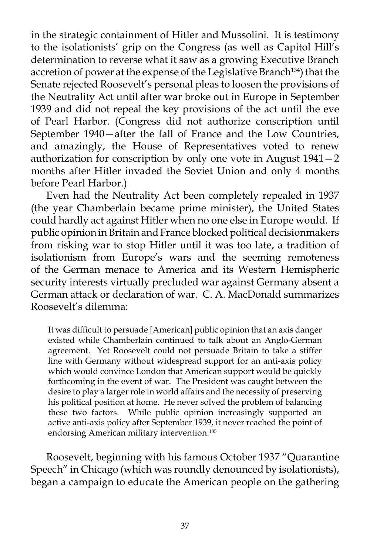in the strategic containment of Hitler and Mussolini. It is testimony to the isolationists' grip on the Congress (as well as Capitol Hill's determination to reverse what it saw as a growing Executive Branch accretion of power at the expense of the Legislative Branch<sup>134</sup>) that the Senate rejected Roosevelt's personal pleas to loosen the provisions of the Neutrality Act until after war broke out in Europe in September 1939 and did not repeal the key provisions of the act until the eve of Pearl Harbor. (Congress did not authorize conscription until September 1940—after the fall of France and the Low Countries, and amazingly, the House of Representatives voted to renew authorization for conscription by only one vote in August 1941—2 months after Hitler invaded the Soviet Union and only 4 months before Pearl Harbor.)

 Even had the Neutrality Act been completely repealed in 1937 (the year Chamberlain became prime minister), the United States could hardly act against Hitler when no one else in Europe would. If public opinion in Britain and France blocked political decisionmakers from risking war to stop Hitler until it was too late, a tradition of isolationism from Europe's wars and the seeming remoteness of the German menace to America and its Western Hemispheric security interests virtually precluded war against Germany absent a German attack or declaration of war. C. A. MacDonald summarizes Roosevelt's dilemma:

It was difficult to persuade [American] public opinion that an axis danger existed while Chamberlain continued to talk about an Anglo-German agreement. Yet Roosevelt could not persuade Britain to take a stiffer line with Germany without widespread support for an anti-axis policy which would convince London that American support would be quickly forthcoming in the event of war. The President was caught between the desire to play a larger role in world affairs and the necessity of preserving his political position at home. He never solved the problem of balancing these two factors. While public opinion increasingly supported an active anti-axis policy after September 1939, it never reached the point of endorsing American military intervention.135

 Roosevelt, beginning with his famous October 1937 "Quarantine Speech" in Chicago (which was roundly denounced by isolationists), began a campaign to educate the American people on the gathering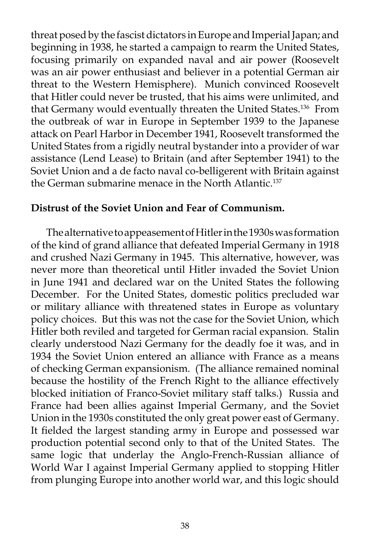threat posed by the fascist dictators in Europe and Imperial Japan; and beginning in 1938, he started a campaign to rearm the United States, focusing primarily on expanded naval and air power (Roosevelt was an air power enthusiast and believer in a potential German air threat to the Western Hemisphere). Munich convinced Roosevelt that Hitler could never be trusted, that his aims were unlimited, and that Germany would eventually threaten the United States.<sup>136</sup> From the outbreak of war in Europe in September 1939 to the Japanese attack on Pearl Harbor in December 1941, Roosevelt transformed the United States from a rigidly neutral bystander into a provider of war assistance (Lend Lease) to Britain (and after September 1941) to the Soviet Union and a de facto naval co-belligerent with Britain against the German submarine menace in the North Atlantic.<sup>137</sup>

### **Distrust of the Soviet Union and Fear of Communism.**

 The alternative to appeasement of Hitler in the 1930s was formation of the kind of grand alliance that defeated Imperial Germany in 1918 and crushed Nazi Germany in 1945. This alternative, however, was never more than theoretical until Hitler invaded the Soviet Union in June 1941 and declared war on the United States the following December. For the United States, domestic politics precluded war or military alliance with threatened states in Europe as voluntary policy choices. But this was not the case for the Soviet Union, which Hitler both reviled and targeted for German racial expansion. Stalin clearly understood Nazi Germany for the deadly foe it was, and in 1934 the Soviet Union entered an alliance with France as a means of checking German expansionism. (The alliance remained nominal because the hostility of the French Right to the alliance effectively blocked initiation of Franco-Soviet military staff talks.) Russia and France had been allies against Imperial Germany, and the Soviet Union in the 1930s constituted the only great power east of Germany. It fielded the largest standing army in Europe and possessed war production potential second only to that of the United States. The same logic that underlay the Anglo-French-Russian alliance of World War I against Imperial Germany applied to stopping Hitler from plunging Europe into another world war, and this logic should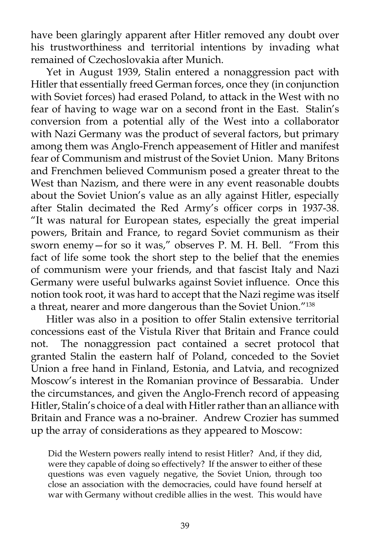have been glaringly apparent after Hitler removed any doubt over his trustworthiness and territorial intentions by invading what remained of Czechoslovakia after Munich.

 Yet in August 1939, Stalin entered a nonaggression pact with Hitler that essentially freed German forces, once they (in conjunction with Soviet forces) had erased Poland, to attack in the West with no fear of having to wage war on a second front in the East. Stalin's conversion from a potential ally of the West into a collaborator with Nazi Germany was the product of several factors, but primary among them was Anglo-French appeasement of Hitler and manifest fear of Communism and mistrust of the Soviet Union. Many Britons and Frenchmen believed Communism posed a greater threat to the West than Nazism, and there were in any event reasonable doubts about the Soviet Union's value as an ally against Hitler, especially after Stalin decimated the Red Army's officer corps in 1937-38. "It was natural for European states, especially the great imperial powers, Britain and France, to regard Soviet communism as their sworn enemy—for so it was," observes P. M. H. Bell. "From this fact of life some took the short step to the belief that the enemies of communism were your friends, and that fascist Italy and Nazi Germany were useful bulwarks against Soviet influence. Once this notion took root, it was hard to accept that the Nazi regime was itself a threat, nearer and more dangerous than the Soviet Union."<sup>138</sup>

 Hitler was also in a position to offer Stalin extensive territorial concessions east of the Vistula River that Britain and France could not. The nonaggression pact contained a secret protocol that granted Stalin the eastern half of Poland, conceded to the Soviet Union a free hand in Finland, Estonia, and Latvia, and recognized Moscow's interest in the Romanian province of Bessarabia. Under the circumstances, and given the Anglo-French record of appeasing Hitler, Stalin's choice of a deal with Hitler rather than an alliance with Britain and France was a no-brainer. Andrew Crozier has summed up the array of considerations as they appeared to Moscow:

Did the Western powers really intend to resist Hitler? And, if they did, were they capable of doing so effectively? If the answer to either of these questions was even vaguely negative, the Soviet Union, through too close an association with the democracies, could have found herself at war with Germany without credible allies in the west. This would have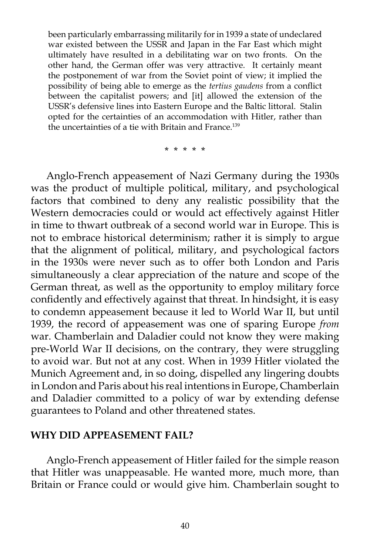been particularly embarrassing militarily for in 1939 a state of undeclared war existed between the USSR and Japan in the Far East which might ultimately have resulted in a debilitating war on two fronts. On the other hand, the German offer was very attractive. It certainly meant the postponement of war from the Soviet point of view; it implied the possibility of being able to emerge as the *tertius gaudens* from a conflict between the capitalist powers; and [it] allowed the extension of the USSR's defensive lines into Eastern Europe and the Baltic littoral. Stalin opted for the certainties of an accommodation with Hitler, rather than the uncertainties of a tie with Britain and France.<sup>139</sup>

\* \* \* \* \*

 Anglo-French appeasement of Nazi Germany during the 1930s was the product of multiple political, military, and psychological factors that combined to deny any realistic possibility that the Western democracies could or would act effectively against Hitler in time to thwart outbreak of a second world war in Europe. This is not to embrace historical determinism; rather it is simply to argue that the alignment of political, military, and psychological factors in the 1930s were never such as to offer both London and Paris simultaneously a clear appreciation of the nature and scope of the German threat, as well as the opportunity to employ military force confidently and effectively against that threat. In hindsight, it is easy to condemn appeasement because it led to World War II, but until 1939, the record of appeasement was one of sparing Europe *from*  war. Chamberlain and Daladier could not know they were making pre-World War II decisions, on the contrary, they were struggling to avoid war. But not at any cost. When in 1939 Hitler violated the Munich Agreement and, in so doing, dispelled any lingering doubts in London and Paris about his real intentions in Europe, Chamberlain and Daladier committed to a policy of war by extending defense guarantees to Poland and other threatened states.

#### **WHY DID APPEASEMENT FAIL?**

 Anglo-French appeasement of Hitler failed for the simple reason that Hitler was unappeasable. He wanted more, much more, than Britain or France could or would give him. Chamberlain sought to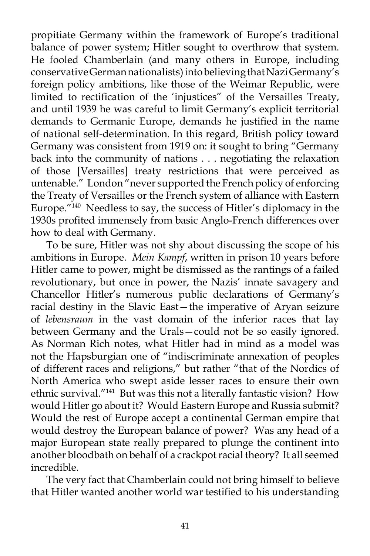propitiate Germany within the framework of Europe's traditional balance of power system; Hitler sought to overthrow that system. He fooled Chamberlain (and many others in Europe, including conservative German nationalists) into believing that Nazi Germany's foreign policy ambitions, like those of the Weimar Republic, were limited to rectification of the 'injustices" of the Versailles Treaty, and until 1939 he was careful to limit Germany's explicit territorial demands to Germanic Europe, demands he justified in the name of national self-determination. In this regard, British policy toward Germany was consistent from 1919 on: it sought to bring "Germany back into the community of nations . . . negotiating the relaxation of those [Versailles] treaty restrictions that were perceived as untenable." London "never supported the French policy of enforcing the Treaty of Versailles or the French system of alliance with Eastern Europe."140 Needless to say, the success of Hitler's diplomacy in the 1930s profited immensely from basic Anglo-French differences over how to deal with Germany.

 To be sure, Hitler was not shy about discussing the scope of his ambitions in Europe. *Mein Kampf*, written in prison 10 years before Hitler came to power, might be dismissed as the rantings of a failed revolutionary, but once in power, the Nazis' innate savagery and Chancellor Hitler's numerous public declarations of Germany's racial destiny in the Slavic East—the imperative of Aryan seizure of *lebensraum* in the vast domain of the inferior races that lay between Germany and the Urals—could not be so easily ignored. As Norman Rich notes, what Hitler had in mind as a model was not the Hapsburgian one of "indiscriminate annexation of peoples of different races and religions," but rather "that of the Nordics of North America who swept aside lesser races to ensure their own ethnic survival."141 But was this not a literally fantastic vision? How would Hitler go about it? Would Eastern Europe and Russia submit? Would the rest of Europe accept a continental German empire that would destroy the European balance of power? Was any head of a major European state really prepared to plunge the continent into another bloodbath on behalf of a crackpot racial theory? It all seemed incredible.

 The very fact that Chamberlain could not bring himself to believe that Hitler wanted another world war testified to his understanding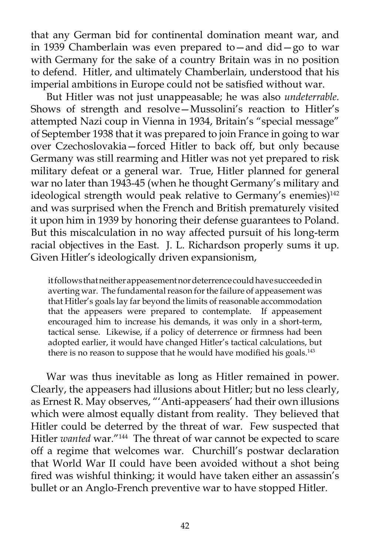that any German bid for continental domination meant war, and in 1939 Chamberlain was even prepared to—and did—go to war with Germany for the sake of a country Britain was in no position to defend. Hitler, and ultimately Chamberlain, understood that his imperial ambitions in Europe could not be satisfied without war.

 But Hitler was not just unappeasable; he was also *undeterrable*. Shows of strength and resolve—Mussolini's reaction to Hitler's attempted Nazi coup in Vienna in 1934, Britain's "special message" of September 1938 that it was prepared to join France in going to war over Czechoslovakia—forced Hitler to back off, but only because Germany was still rearming and Hitler was not yet prepared to risk military defeat or a general war. True, Hitler planned for general war no later than 1943-45 (when he thought Germany's military and ideological strength would peak relative to Germany's enemies)<sup>142</sup> and was surprised when the French and British prematurely visited it upon him in 1939 by honoring their defense guarantees to Poland. But this miscalculation in no way affected pursuit of his long-term racial objectives in the East. J. L. Richardson properly sums it up. Given Hitler's ideologically driven expansionism,

it follows that neither appeasement nor deterrence could have succeeded in averting war. The fundamental reason for the failure of appeasement was that Hitler's goals lay far beyond the limits of reasonable accommodation that the appeasers were prepared to contemplate. If appeasement encouraged him to increase his demands, it was only in a short-term, tactical sense. Likewise, if a policy of deterrence or firmness had been adopted earlier, it would have changed Hitler's tactical calculations, but there is no reason to suppose that he would have modified his goals.<sup>143</sup>

 War was thus inevitable as long as Hitler remained in power. Clearly, the appeasers had illusions about Hitler; but no less clearly, as Ernest R. May observes, "'Anti-appeasers' had their own illusions which were almost equally distant from reality. They believed that Hitler could be deterred by the threat of war. Few suspected that Hitler *wanted* war."144 The threat of war cannot be expected to scare off a regime that welcomes war. Churchill's postwar declaration that World War II could have been avoided without a shot being fired was wishful thinking; it would have taken either an assassin's bullet or an Anglo-French preventive war to have stopped Hitler.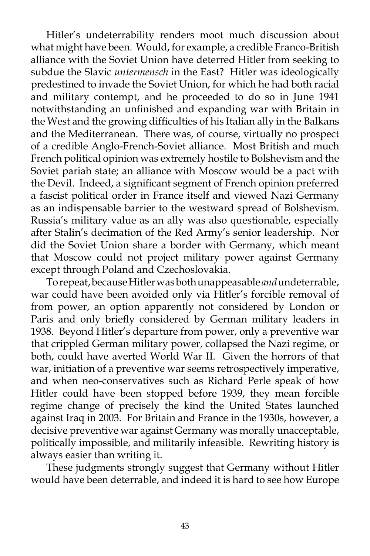Hitler's undeterrability renders moot much discussion about what might have been. Would, for example, a credible Franco-British alliance with the Soviet Union have deterred Hitler from seeking to subdue the Slavic *untermensch* in the East? Hitler was ideologically predestined to invade the Soviet Union, for which he had both racial and military contempt, and he proceeded to do so in June 1941 notwithstanding an unfinished and expanding war with Britain in the West and the growing difficulties of his Italian ally in the Balkans and the Mediterranean. There was, of course, virtually no prospect of a credible Anglo-French-Soviet alliance. Most British and much French political opinion was extremely hostile to Bolshevism and the Soviet pariah state; an alliance with Moscow would be a pact with the Devil. Indeed, a significant segment of French opinion preferred a fascist political order in France itself and viewed Nazi Germany as an indispensable barrier to the westward spread of Bolshevism. Russia's military value as an ally was also questionable, especially after Stalin's decimation of the Red Army's senior leadership. Nor did the Soviet Union share a border with Germany, which meant that Moscow could not project military power against Germany except through Poland and Czechoslovakia.

 To repeat, because Hitler was both unappeasable *and* undeterrable, war could have been avoided only via Hitler's forcible removal of from power, an option apparently not considered by London or Paris and only briefly considered by German military leaders in 1938. Beyond Hitler's departure from power, only a preventive war that crippled German military power, collapsed the Nazi regime, or both, could have averted World War II. Given the horrors of that war, initiation of a preventive war seems retrospectively imperative, and when neo-conservatives such as Richard Perle speak of how Hitler could have been stopped before 1939, they mean forcible regime change of precisely the kind the United States launched against Iraq in 2003. For Britain and France in the 1930s, however, a decisive preventive war against Germany was morally unacceptable, politically impossible, and militarily infeasible. Rewriting history is always easier than writing it.

 These judgments strongly suggest that Germany without Hitler would have been deterrable, and indeed it is hard to see how Europe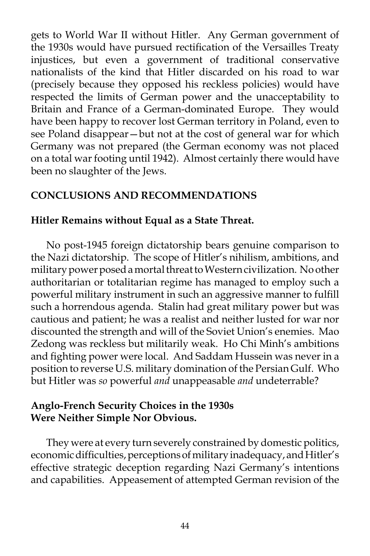gets to World War II without Hitler. Any German government of the 1930s would have pursued rectification of the Versailles Treaty injustices, but even a government of traditional conservative nationalists of the kind that Hitler discarded on his road to war (precisely because they opposed his reckless policies) would have respected the limits of German power and the unacceptability to Britain and France of a German-dominated Europe. They would have been happy to recover lost German territory in Poland, even to see Poland disappear—but not at the cost of general war for which Germany was not prepared (the German economy was not placed on a total war footing until 1942). Almost certainly there would have been no slaughter of the Jews.

# **CONCLUSIONS AND RECOMMENDATIONS**

# **Hitler Remains without Equal as a State Threat.**

No post-1945 foreign dictatorship bears genuine comparison to the Nazi dictatorship. The scope of Hitler's nihilism, ambitions, and military power posed a mortal threat to Western civilization. No other authoritarian or totalitarian regime has managed to employ such a powerful military instrument in such an aggressive manner to fulfill such a horrendous agenda. Stalin had great military power but was cautious and patient; he was a realist and neither lusted for war nor discounted the strength and will of the Soviet Union's enemies. Mao Zedong was reckless but militarily weak. Ho Chi Minh's ambitions and fighting power were local. And Saddam Hussein was never in a position to reverse U.S. military domination of the Persian Gulf. Who but Hitler was *so* powerful *and* unappeasable *and* undeterrable?

# **Anglo-French Security Choices in the 1930s Were Neither Simple Nor Obvious.**

They were at every turn severely constrained by domestic politics, economic difficulties, perceptions of military inadequacy, and Hitler's effective strategic deception regarding Nazi Germany's intentions and capabilities. Appeasement of attempted German revision of the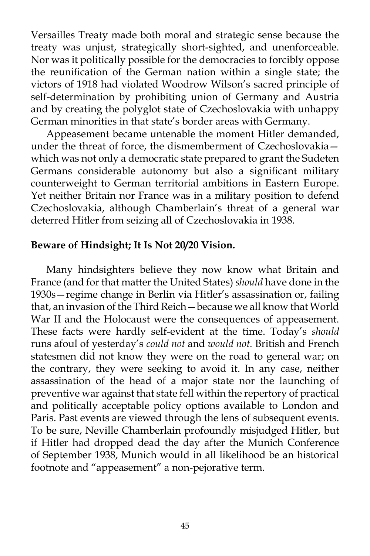Versailles Treaty made both moral and strategic sense because the treaty was unjust, strategically short-sighted, and unenforceable. Nor was it politically possible for the democracies to forcibly oppose the reunification of the German nation within a single state; the victors of 1918 had violated Woodrow Wilson's sacred principle of self-determination by prohibiting union of Germany and Austria and by creating the polyglot state of Czechoslovakia with unhappy German minorities in that state's border areas with Germany.

 Appeasement became untenable the moment Hitler demanded, under the threat of force, the dismemberment of Czechoslovakia which was not only a democratic state prepared to grant the Sudeten Germans considerable autonomy but also a significant military counterweight to German territorial ambitions in Eastern Europe. Yet neither Britain nor France was in a military position to defend Czechoslovakia, although Chamberlain's threat of a general war deterred Hitler from seizing all of Czechoslovakia in 1938.

## **Beware of Hindsight; It Is Not 20/20 Vision.**

Many hindsighters believe they now know what Britain and France (and for that matter the United States) *should* have done in the 1930s—regime change in Berlin via Hitler's assassination or, failing that, an invasion of the Third Reich—because we all know that World War II and the Holocaust were the consequences of appeasement. These facts were hardly self-evident at the time. Today's *should* runs afoul of yesterday's *could not* and *would not.* British and French statesmen did not know they were on the road to general war; on the contrary, they were seeking to avoid it. In any case, neither assassination of the head of a major state nor the launching of preventive war against that state fell within the repertory of practical and politically acceptable policy options available to London and Paris. Past events are viewed through the lens of subsequent events. To be sure, Neville Chamberlain profoundly misjudged Hitler, but if Hitler had dropped dead the day after the Munich Conference of September 1938, Munich would in all likelihood be an historical footnote and "appeasement" a non-pejorative term.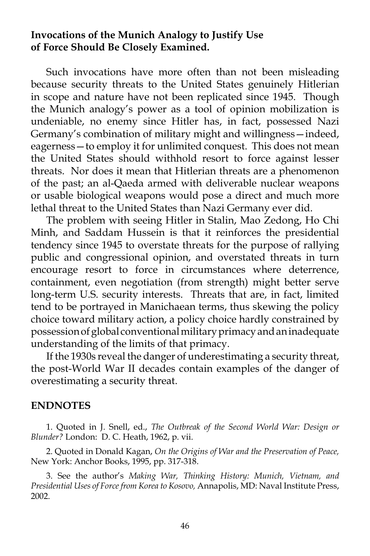### **Invocations of the Munich Analogy to Justify Use of Force Should Be Closely Examined.**

Such invocations have more often than not been misleading because security threats to the United States genuinely Hitlerian in scope and nature have not been replicated since 1945. Though the Munich analogy's power as a tool of opinion mobilization is undeniable, no enemy since Hitler has, in fact, possessed Nazi Germany's combination of military might and willingness—indeed, eagerness—to employ it for unlimited conquest. This does not mean the United States should withhold resort to force against lesser threats. Nor does it mean that Hitlerian threats are a phenomenon of the past; an al-Qaeda armed with deliverable nuclear weapons or usable biological weapons would pose a direct and much more lethal threat to the United States than Nazi Germany ever did.

 The problem with seeing Hitler in Stalin, Mao Zedong, Ho Chi Minh, and Saddam Hussein is that it reinforces the presidential tendency since 1945 to overstate threats for the purpose of rallying public and congressional opinion, and overstated threats in turn encourage resort to force in circumstances where deterrence, containment, even negotiation (from strength) might better serve long-term U.S. security interests. Threats that are, in fact, limited tend to be portrayed in Manichaean terms, thus skewing the policy choice toward military action, a policy choice hardly constrained by possession of global conventional military primacy and an inadequate understanding of the limits of that primacy.

 If the 1930s reveal the danger of underestimating a security threat, the post-World War II decades contain examples of the danger of overestimating a security threat.

#### **ENDNOTES**

 1. Quoted in J. Snell, ed., *The Outbreak of the Second World War: Design or Blunder?* London: D. C. Heath, 1962, p. vii.

 2. Quoted in Donald Kagan, *On the Origins of War and the Preservation of Peace,*  New York: Anchor Books, 1995, pp. 317-318.

 3. See the author's *Making War, Thinking History: Munich, Vietnam, and Presidential Uses of Force from Korea to Kosovo,* Annapolis, MD: Naval Institute Press, 2002.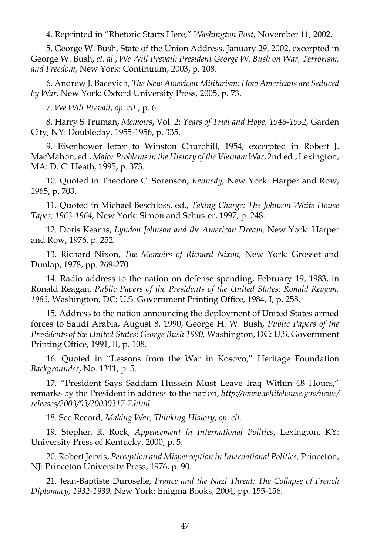4. Reprinted in "Rhetoric Starts Here," *Washington Post*, November 11, 2002.

 5. George W. Bush, State of the Union Address, January 29, 2002, excerpted in George W. Bush, *et. al*., *We Will Prevail: President George W. Bush on War, Terrorism, and Freedom,* New York: Continuum, 2003, p. 108.

 6. Andrew J. Bacevich, *The New American Militarism: How Americans are Seduced by War,* New York: Oxford University Press, 2005, p. 73.

7. *We Will Prevail*, *op. cit.*, p. 6.

 8. Harry S Truman, *Memoirs*, Vol. 2: *Years of Trial and Hope, 1946-1952,* Garden City, NY: Doubleday, 1955-1956, p. 335.

 9. Eisenhower letter to Winston Churchill, 1954, excerpted in Robert J. MacMahon, ed., *Major Problems in the History of the Vietnam War*, 2nd ed.; Lexington, MA: D. C. Heath, 1995, p. 373.

 10. Quoted in Theodore C. Sorenson, *Kennedy,* New York: Harper and Row, 1965, p. 703.

 11. Quoted in Michael Beschloss, ed., *Taking Charge: The Johnson White House Tapes, 1963-1964,* New York: Simon and Schuster, 1997, p. 248.

 12. Doris Kearns, *Lyndon Johnson and the American Dream,* New York: Harper and Row, 1976, p. 252.

 13. Richard Nixon, *The Memoirs of Richard Nixon,* New York: Grosset and Dunlap, 1978, pp. 269-270.

 14. Radio address to the nation on defense spending, February 19, 1983, in Ronald Reagan, *Public Papers of the Presidents of the United States: Ronald Reagan, 1983,* Washington, DC: U.S. Government Printing Office, 1984, I, p. 258.

 15. Address to the nation announcing the deployment of United States armed forces to Saudi Arabia, August 8, 1990, George H. W. Bush, *Public Papers of the Presidents of the United States: George Bush 1990,* Washington, DC: U.S. Government Printing Office, 1991, II, p. 108.

 16. Quoted in "Lessons from the War in Kosovo," Heritage Foundation *Backgrounder*, No. 1311, p. 5.

 17. "President Says Saddam Hussein Must Leave Iraq Within 48 Hours," remarks by the President in address to the nation, *<http://www.whitehouse.gov/news/> releases/2003/03/20030317-7.html*.

18. See Record, *Making War, Thinking History*, *op. cit*.

 19. Stephen R. Rock, *Appeasement in International Politics*, Lexington, KY: University Press of Kentucky, 2000, p. 5.

 20. Robert Jervis, *Perception and Misperception in International Politics,* Princeton, NJ: Princeton University Press, 1976, p. 90.

 21. Jean-Baptiste Duroselle, *France and the Nazi Threat: The Collapse of French Diplomacy, 1932-1939,* New York: Enigma Books, 2004, pp. 155-156.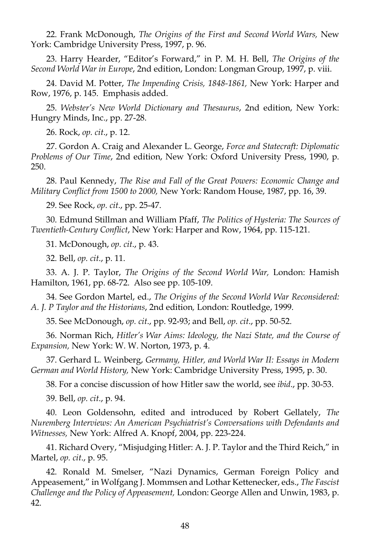22. Frank McDonough, *The Origins of the First and Second World Wars,* New York: Cambridge University Press, 1997, p. 96.

 23. Harry Hearder, "Editor's Forward," in P. M. H. Bell, *The Origins of the Second World War in Europe*, 2nd edition, London: Longman Group, 1997, p. viii.

 24. David M. Potter, *The Impending Crisis, 1848-1861,* New York: Harper and Row, 1976, p. 145. Emphasis added.

 25. *Webster's New World Dictionary and Thesaurus*, 2nd edition, New York: Hungry Minds, Inc., pp. 27-28.

26. Rock, *op. cit*., p. 12.

 27. Gordon A. Craig and Alexander L. George, *Force and Statecraft: Diplomatic Problems of Our Time*, 2nd edition, New York: Oxford University Press, 1990, p. 250.

 28. Paul Kennedy, *The Rise and Fall of the Great Powers: Economic Change and Military Conflict from 1500 to 2000,* New York: Random House, 1987, pp. 16, 39.

29. See Rock, *op. cit*., pp. 25-47.

 30. Edmund Stillman and William Pfaff, *The Politics of Hysteria: The Sources of Twentieth-Century Conflict*, New York: Harper and Row, 1964, pp. 115-121.

31. McDonough, *op. cit*., p. 43.

32. Bell, *op. cit*., p. 11.

 33. A. J. P. Taylor, *The Origins of the Second World War,* London: Hamish Hamilton, 1961, pp. 68-72. Also see pp. 105-109.

 34. See Gordon Martel, ed., *The Origins of the Second World War Reconsidered: A. J. P Taylor and the Historians*, 2nd edition*,* London: Routledge, 1999.

35. See McDonough, *op. cit*., pp. 92-93; and Bell, *op. cit*., pp. 50-52.

 36. Norman Rich, *Hitler's War Aims: Ideology, the Nazi State, and the Course of Expansion,* New York: W. W. Norton, 1973, p. 4.

 37. Gerhard L. Weinberg, *Germany, Hitler, and World War II: Essays in Modern German and World History,* New York: Cambridge University Press, 1995, p. 30.

38. For a concise discussion of how Hitler saw the world, see *ibid*., pp. 30-53.

39. Bell, *op. cit*., p. 94.

 40. Leon Goldensohn, edited and introduced by Robert Gellately, *The Nuremberg Interviews: An American Psychiatrist's Conversations with Defendants and Witnesses,* New York: Alfred A. Knopf, 2004, pp. 223-224.

 41. Richard Overy, "Misjudging Hitler: A. J. P. Taylor and the Third Reich," in Martel, *op. cit*., p. 95.

 42. Ronald M. Smelser, "Nazi Dynamics, German Foreign Policy and Appeasement," in Wolfgang J. Mommsen and Lothar Kettenecker, eds., *The Fascist Challenge and the Policy of Appeasement,* London: George Allen and Unwin, 1983, p. 42.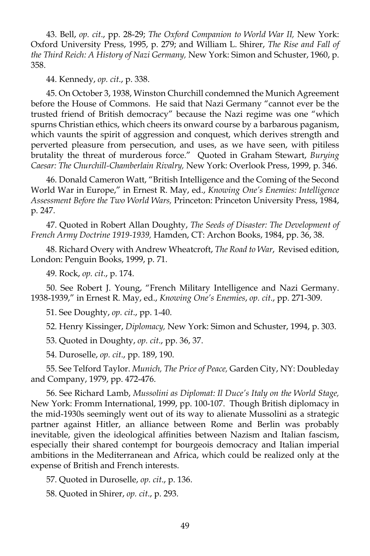43. Bell, *op. cit*., pp. 28-29; *The Oxford Companion to World War II,* New York: Oxford University Press, 1995, p. 279; and William L. Shirer, *The Rise and Fall of the Third Reich: A History of Nazi Germany,* New York: Simon and Schuster, 1960, p. 358.

44. Kennedy, *op. cit*., p. 338.

 45. On October 3, 1938, Winston Churchill condemned the Munich Agreement before the House of Commons. He said that Nazi Germany "cannot ever be the trusted friend of British democracy" because the Nazi regime was one "which spurns Christian ethics, which cheers its onward course by a barbarous paganism, which vaunts the spirit of aggression and conquest, which derives strength and perverted pleasure from persecution, and uses, as we have seen, with pitiless brutality the threat of murderous force." Quoted in Graham Stewart, *Burying Caesar: The Churchill-Chamberlain Rivalry,* New York: Overlook Press, 1999, p. 346.

 46. Donald Cameron Watt, "British Intelligence and the Coming of the Second World War in Europe," in Ernest R. May, ed., *Knowing One's Enemies: Intelligence Assessment Before the Two World Wars,* Princeton: Princeton University Press, 1984, p. 247.

 47. Quoted in Robert Allan Doughty, *The Seeds of Disaster: The Development of French Army Doctrine 1919-1939,* Hamden, CT: Archon Books, 1984, pp. 36, 38.

 48. Richard Overy with Andrew Wheatcroft, *The Road to War*, Revised edition, London: Penguin Books, 1999, p. 71.

49. Rock, *op. cit*., p. 174.

 50. See Robert J. Young, "French Military Intelligence and Nazi Germany. 1938-1939," in Ernest R. May, ed., *Knowing One's Enemies*, *op. cit*., pp. 271-309.

51. See Doughty, *op. cit*., pp. 1-40.

52. Henry Kissinger, *Diplomacy,* New York: Simon and Schuster, 1994, p. 303.

53. Quoted in Doughty, *op. cit*., pp. 36, 37.

54. Duroselle, *op. cit*., pp. 189, 190.

 55. See Telford Taylor. *Munich, The Price of Peace,* Garden City, NY: Doubleday and Company, 1979, pp. 472-476.

 56. See Richard Lamb, *Mussolini as Diplomat: Il Duce's Italy on the World Stage,*  New York: Fromm International, 1999, pp. 100-107. Though British diplomacy in the mid-1930s seemingly went out of its way to alienate Mussolini as a strategic partner against Hitler, an alliance between Rome and Berlin was probably inevitable, given the ideological affinities between Nazism and Italian fascism, especially their shared contempt for bourgeois democracy and Italian imperial ambitions in the Mediterranean and Africa, which could be realized only at the expense of British and French interests.

57. Quoted in Duroselle, *op. cit*., p. 136.

58. Quoted in Shirer, *op. cit*., p. 293.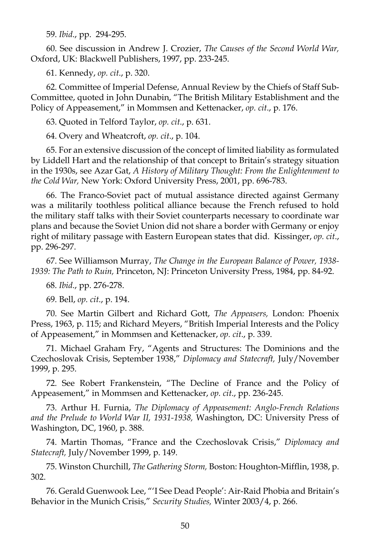59. *Ibid*., pp. 294-295.

 60. See discussion in Andrew J. Crozier, *The Causes of the Second World War,*  Oxford, UK: Blackwell Publishers, 1997, pp. 233-245.

61. Kennedy, *op. cit*., p. 320.

 62. Committee of Imperial Defense, Annual Review by the Chiefs of Staff Sub-Committee, quoted in John Dunabin, "The British Military Establishment and the Policy of Appeasement," in Mommsen and Kettenacker, *op. cit*., p. 176.

63. Quoted in Telford Taylor, *op. cit*., p. 631.

64. Overy and Wheatcroft, *op. cit*., p. 104.

 65. For an extensive discussion of the concept of limited liability as formulated by Liddell Hart and the relationship of that concept to Britain's strategy situation in the 1930s, see Azar Gat, *A History of Military Thought: From the Enlightenment to the Cold War,* New York: Oxford University Press, 2001, pp. 696-783.

 66. The Franco-Soviet pact of mutual assistance directed against Germany was a militarily toothless political alliance because the French refused to hold the military staff talks with their Soviet counterparts necessary to coordinate war plans and because the Soviet Union did not share a border with Germany or enjoy right of military passage with Eastern European states that did. Kissinger, *op. cit*., pp. 296-297.

 67. See Williamson Murray, *The Change in the European Balance of Power, 1938- 1939: The Path to Ruin,* Princeton, NJ: Princeton University Press, 1984, pp. 84-92.

68. *Ibid*., pp. 276-278.

69. Bell, *op. cit*., p. 194.

 70. See Martin Gilbert and Richard Gott, *The Appeasers,* London: Phoenix Press, 1963, p. 115; and Richard Meyers, "British Imperial Interests and the Policy of Appeasement," in Mommsen and Kettenacker, *op. cit*., p. 339.

 71. Michael Graham Fry, "Agents and Structures: The Dominions and the Czechoslovak Crisis, September 1938," *Diplomacy and Statecraft,* July/November 1999, p. 295.

 72. See Robert Frankenstein, "The Decline of France and the Policy of Appeasement," in Mommsen and Kettenacker, *op. cit*., pp. 236-245.

 73. Arthur H. Furnia, *The Diplomacy of Appeasement: Anglo-French Relations and the Prelude to World War II, 1931-1938,* Washington, DC: University Press of Washington, DC, 1960, p. 388.

 74. Martin Thomas, "France and the Czechoslovak Crisis," *Diplomacy and Statecraft,* July/November 1999, p. 149.

 75. Winston Churchill, *The Gathering Storm,* Boston: Houghton-Mifflin, 1938, p. 302.

 76. Gerald Guenwook Lee, "'I See Dead People': Air-Raid Phobia and Britain's Behavior in the Munich Crisis," *Security Studies,* Winter 2003/4, p. 266.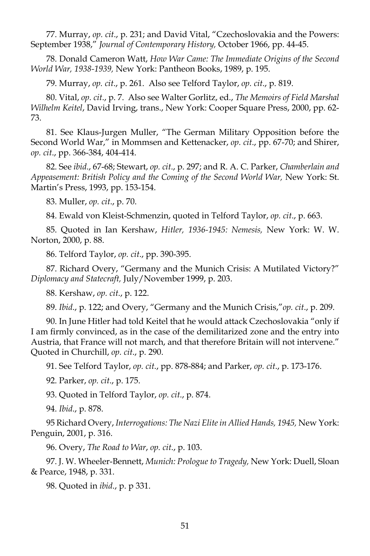77. Murray, *op. cit*., p. 231; and David Vital, "Czechoslovakia and the Powers: September 1938," *Journal of Contemporary History,* October 1966, pp. 44-45.

 78. Donald Cameron Watt, *How War Came: The Immediate Origins of the Second World War, 1938-1939,* New York: Pantheon Books, 1989, p. 195.

79. Murray, *op. cit*., p. 261. Also see Telford Taylor, *op. cit*., p. 819.

 80. Vital, *op. cit*., p. 7. Also see Walter Gorlitz, ed., *The Memoirs of Field Marshal Wilhelm Keitel*, David Irving, trans., New York: Cooper Square Press, 2000, pp. 62- 73.

 81. See Klaus-Jurgen Muller, "The German Military Opposition before the Second World War," in Mommsen and Kettenacker, *op. cit*., pp. 67-70; and Shirer, *op. cit*., pp. 366-384, 404-414.

 82. See *ibid*., 67-68; Stewart, *op. cit*., p. 297; and R. A. C. Parker, *Chamberlain and Appeasement: British Policy and the Coming of the Second World War,* New York: St. Martin's Press, 1993, pp. 153-154.

83. Muller, *op. cit*., p. 70.

84. Ewald von Kleist-Schmenzin, quoted in Telford Taylor, *op. cit*., p. 663.

 85. Quoted in Ian Kershaw, *Hitler, 1936-1945: Nemesis,* New York: W. W. Norton, 2000, p. 88.

86. Telford Taylor, *op. cit*., pp. 390-395.

 87. Richard Overy, "Germany and the Munich Crisis: A Mutilated Victory?" *Diplomacy and Statecraft,* July/November 1999, p. 203.

88. Kershaw, *op. cit*., p. 122.

89. *Ibid*., p. 122; and Overy, "Germany and the Munich Crisis,"*op. cit*., p. 209.

 90. In June Hitler had told Keitel that he would attack Czechoslovakia "only if I am firmly convinced, as in the case of the demilitarized zone and the entry into Austria, that France will not march, and that therefore Britain will not intervene." Quoted in Churchill, *op. cit*., p. 290.

91. See Telford Taylor, *op. cit*., pp. 878-884; and Parker, *op. cit*., p. 173-176.

92. Parker, *op. cit*., p. 175.

93. Quoted in Telford Taylor, *op. cit*., p. 874.

94. *Ibid*., p. 878.

 95 Richard Overy, *Interrogations: The Nazi Elite in Allied Hands, 1945,* New York: Penguin, 2001, p. 316.

96. Overy, *The Road to War*, *op. cit*., p. 103.

 97. J. W. Wheeler-Bennett, *Munich: Prologue to Tragedy,* New York: Duell, Sloan & Pearce, 1948, p. 331.

98. Quoted in *ibid*., p. p 331.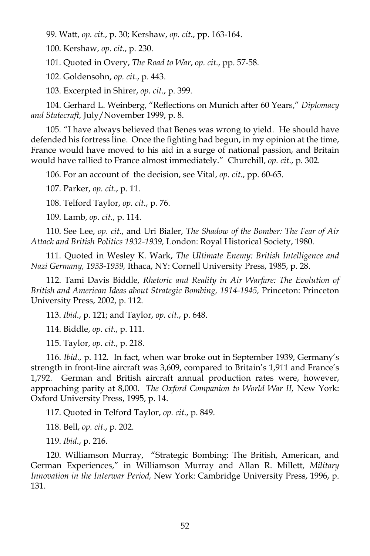99. Watt, *op. cit*., p. 30; Kershaw, *op. cit*., pp. 163-164.

100. Kershaw, *op. cit*., p. 230.

101. Quoted in Overy, *The Road to War*, *op. cit*., pp. 57-58.

102. Goldensohn, *op. cit*., p. 443.

103. Excerpted in Shirer, *op. cit*., p. 399.

 104. Gerhard L. Weinberg, "Reflections on Munich after 60 Years," *Diplomacy and Statecraft,* July/November 1999, p. 8.

 105. "I have always believed that Benes was wrong to yield. He should have defended his fortress line. Once the fighting had begun, in my opinion at the time, France would have moved to his aid in a surge of national passion, and Britain would have rallied to France almost immediately." Churchill, *op. cit*., p. 302.

106. For an account of the decision, see Vital, *op. cit*., pp. 60-65.

107. Parker, *op. cit*., p. 11.

108. Telford Taylor, *op. cit*., p. 76.

109. Lamb, *op. cit*., p. 114.

 110. See Lee, *op. cit*., and Uri Bialer, *The Shadow of the Bomber: The Fear of Air Attack and British Politics 1932-1939,* London: Royal Historical Society, 1980.

 111. Quoted in Wesley K. Wark, *The Ultimate Enemy: British Intelligence and Nazi Germany, 1933-1939,* Ithaca, NY: Cornell University Press, 1985, p. 28.

 112. Tami Davis Biddle, *Rhetoric and Reality in Air Warfare: The Evolution of British and American Ideas about Strategic Bombing, 1914-1945,* Princeton: Princeton University Press, 2002, p. 112.

113. *Ibid*., p. 121; and Taylor, *op. cit*., p. 648.

114. Biddle, *op. cit*., p. 111.

115. Taylor, *op. cit*., p. 218.

 116. *Ibid*., p. 112. In fact, when war broke out in September 1939, Germany's strength in front-line aircraft was 3,609, compared to Britain's 1,911 and France's 1,792. German and British aircraft annual production rates were, however, approaching parity at 8,000. *The Oxford Companion to World War II,* New York: Oxford University Press, 1995, p. 14.

117. Quoted in Telford Taylor, *op. cit*., p. 849.

118. Bell, *op. cit*., p. 202.

119. *Ibid*., p. 216.

 120. Williamson Murray, "Strategic Bombing: The British, American, and German Experiences," in Williamson Murray and Allan R. Millett, *Military Innovation in the Interwar Period,* New York: Cambridge University Press, 1996, p. 131.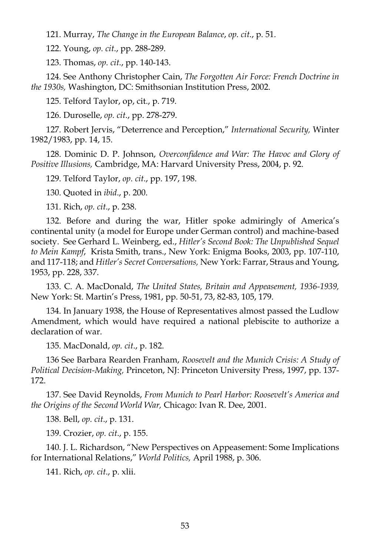121. Murray, *The Change in the European Balance*, *op. cit*., p. 51.

122. Young, *op. cit*., pp. 288-289.

123. Thomas, *op. cit*., pp. 140-143.

 124. See Anthony Christopher Cain, *The Forgotten Air Force: French Doctrine in the 1930s,* Washington, DC: Smithsonian Institution Press, 2002.

125. Telford Taylor, op, cit., p. 719.

126. Duroselle, *op. cit*., pp. 278-279.

 127. Robert Jervis, "Deterrence and Perception," *International Security,* Winter 1982/1983, pp. 14, 15.

 128. Dominic D. P. Johnson, *Overconfidence and War: The Havoc and Glory of Positive Illusions,* Cambridge, MA: Harvard University Press, 2004, p. 92.

129. Telford Taylor, *op. cit*., pp. 197, 198.

130. Quoted in *ibid*., p. 200.

131. Rich, *op. cit*., p. 238.

 132. Before and during the war, Hitler spoke admiringly of America's continental unity (a model for Europe under German control) and machine-based society. See Gerhard L. Weinberg, ed., *Hitler's Second Book: The Unpublished Sequel to Mein Kampf*, Krista Smith, trans., New York: Enigma Books, 2003, pp. 107-110, and 117-118; and *Hitler's Secret Conversations,* New York: Farrar, Straus and Young, 1953, pp. 228, 337.

 133. C. A. MacDonald, *The United States, Britain and Appeasement, 1936-1939,*  New York: St. Martin's Press, 1981, pp. 50-51, 73, 82-83, 105, 179.

 134. In January 1938, the House of Representatives almost passed the Ludlow Amendment, which would have required a national plebiscite to authorize a declaration of war.

135. MacDonald, *op. cit*., p. 182.

 136 See Barbara Rearden Franham, *Roosevelt and the Munich Crisis: A Study of Political Decision-Making,* Princeton, NJ: Princeton University Press, 1997, pp. 137- 172.

 137. See David Reynolds, *From Munich to Pearl Harbor: Roosevelt's America and the Origins of the Second World War,* Chicago: Ivan R. Dee, 2001.

138. Bell, *op. cit*., p. 131.

139. Crozier, *op. cit*., p. 155.

 140. J. L. Richardson, "New Perspectives on Appeasement: Some Implications for International Relations," *World Politics,* April 1988, p. 306.

141. Rich, *op. cit*., p. xlii.